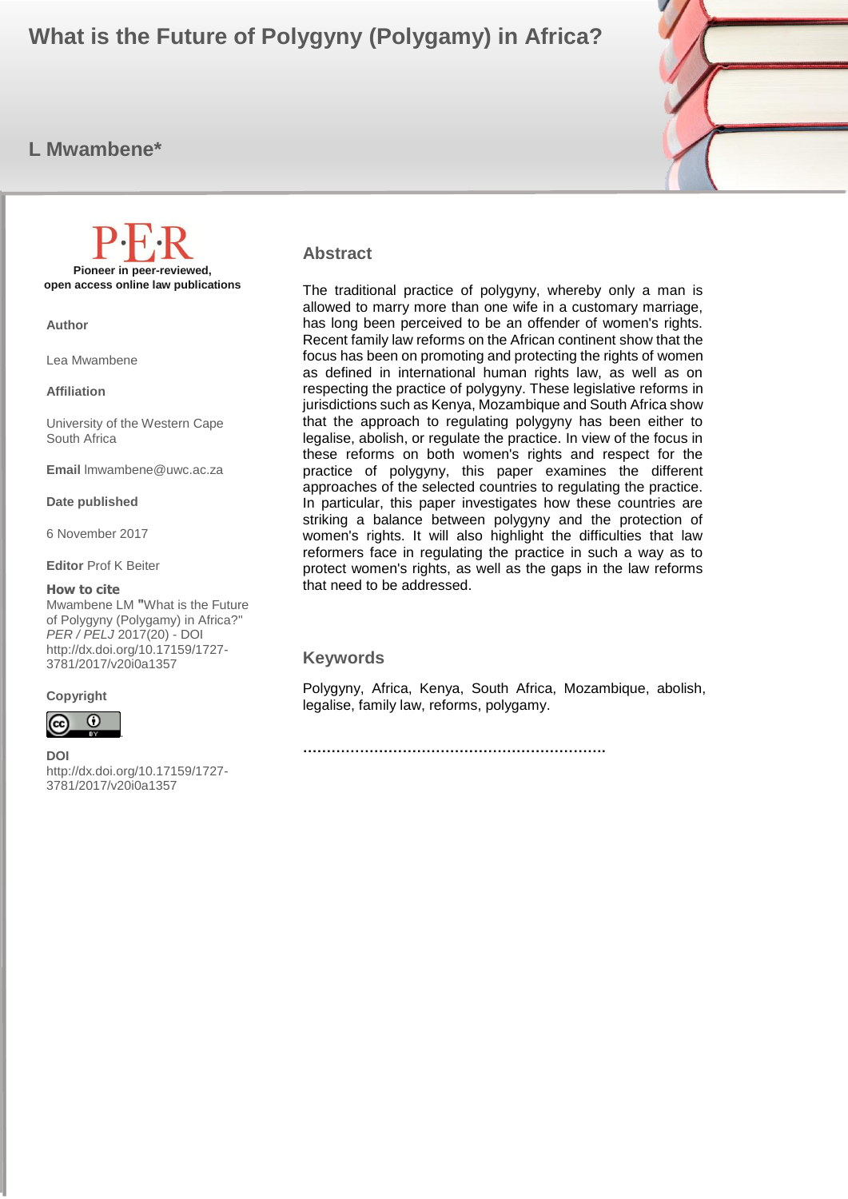# **What is the Future of Polygyny (Polygamy) in Africa?**

# **L Mwambene\***



**Pioneer in peer-reviewed, open access online law publications**

**Author**

Lea Mwambene

**Affiliation**

University of the Western Cape South Africa

**Email** lmwambene@uwc.ac.za

**Date published**

6 November 2017

**Editor** Prof K Beiter

#### **How to cite**

Mwambene LM **"**What is the Future of Polygyny (Polygamy) in Africa?" *PER / PELJ* 2017(20) - DOI http://dx.doi.org/10.17159/1727- 3781/2017/v20i0a1357

#### **Copyright**



**DOI**  http://dx.doi.org/10.17159/1727- 3781/2017/v20i0a1357

.

#### **Abstract**

The traditional practice of polygyny, whereby only a man is allowed to marry more than one wife in a customary marriage, has long been perceived to be an offender of women's rights. Recent family law reforms on the African continent show that the focus has been on promoting and protecting the rights of women as defined in international human rights law, as well as on respecting the practice of polygyny. These legislative reforms in jurisdictions such as Kenya, Mozambique and South Africa show that the approach to regulating polygyny has been either to legalise, abolish, or regulate the practice. In view of the focus in these reforms on both women's rights and respect for the practice of polygyny, this paper examines the different approaches of the selected countries to regulating the practice. In particular, this paper investigates how these countries are striking a balance between polygyny and the protection of women's rights. It will also highlight the difficulties that law reformers face in regulating the practice in such a way as to protect women's rights, as well as the gaps in the law reforms that need to be addressed.

#### **Keywords**

Polygyny, Africa, Kenya, South Africa, Mozambique, abolish, legalise, family law, reforms, polygamy.

**……………………………………………………….**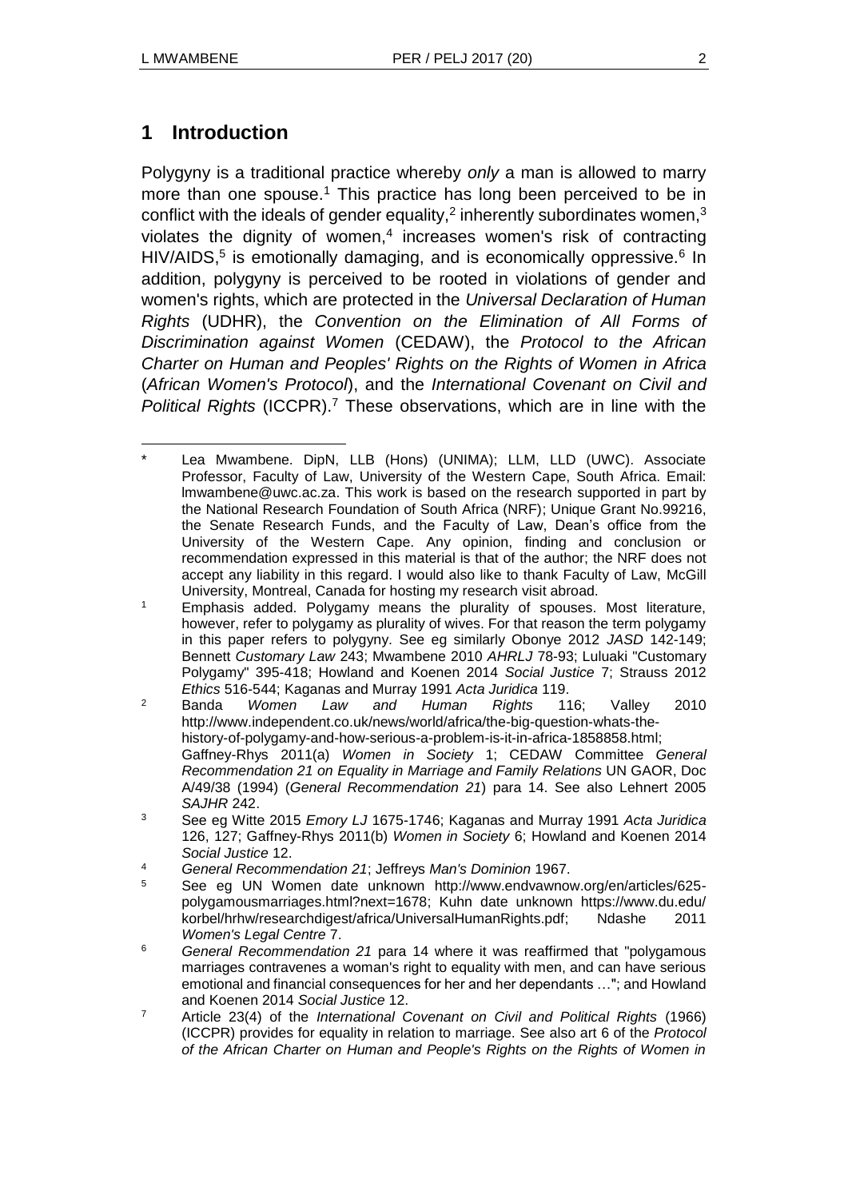# **1 Introduction**

Polygyny is a traditional practice whereby *only* a man is allowed to marry more than one spouse.<sup>1</sup> This practice has long been perceived to be in conflict with the ideals of gender equality,<sup>2</sup> inherently subordinates women,<sup>3</sup> violates the dignity of women,<sup>4</sup> increases women's risk of contracting HIV/AIDS,<sup>5</sup> is emotionally damaging, and is economically oppressive.<sup>6</sup> In addition, polygyny is perceived to be rooted in violations of gender and women's rights, which are protected in the *Universal Declaration of Human Rights* (UDHR), the *Convention on the Elimination of All Forms of Discrimination against Women* (CEDAW), the *Protocol to the African Charter on Human and Peoples' Rights on the Rights of Women in Africa*  (*African Women's Protocol*), and the *International Covenant on Civil and Political Rights* (ICCPR).<sup>7</sup> These observations, which are in line with the

- <sup>6</sup> *General Recommendation 21* para 14 where it was reaffirmed that "polygamous marriages contravenes a woman's right to equality with men, and can have serious emotional and financial consequences for her and her dependants …"; and Howland and Koenen 2014 *Social Justice* 12.
- <sup>7</sup> Article 23(4) of the *International Covenant on Civil and Political Rights* (1966) (ICCPR) provides for equality in relation to marriage. See also art 6 of the *Protocol of the African Charter on Human and People's Rights on the Rights of Women in*

 $\overline{a}$ Lea Mwambene. DipN, LLB (Hons) (UNIMA); LLM, LLD (UWC). Associate Professor, Faculty of Law, University of the Western Cape, South Africa. Email: [lmwambene@uwc.ac.za.](mailto:lmwambene@uwc.ac.za) This work is based on the research supported in part by the National Research Foundation of South Africa (NRF); Unique Grant No.99216, the Senate Research Funds, and the Faculty of Law, Dean's office from the University of the Western Cape. Any opinion, finding and conclusion or recommendation expressed in this material is that of the author; the NRF does not accept any liability in this regard. I would also like to thank Faculty of Law, McGill University, Montreal, Canada for hosting my research visit abroad.

<sup>&</sup>lt;sup>1</sup> Emphasis added. Polygamy means the plurality of spouses. Most literature, however, refer to polygamy as plurality of wives. For that reason the term polygamy in this paper refers to polygyny. See eg similarly Obonye 2012 *JASD* 142-149; Bennett *Customary Law* 243; Mwambene 2010 *AHRLJ* 78-93; Luluaki "Customary Polygamy" 395-418; Howland and Koenen 2014 *Social Justice* 7; Strauss 2012 *Ethics* 516-544; Kaganas and Murray 1991 *Acta Juridica* 119.

<sup>2</sup> Banda *Women Law and Human Rights* 116; Valley 2010 http://www.independent.co.uk/news/world/africa/the-big-question-whats-thehistory-of-polygamy-and-how-serious-a-problem-is-it-in-africa-1858858.html; Gaffney-Rhys 2011(a) *Women in Society* 1; CEDAW Committee *General Recommendation 21 on Equality in Marriage and Family Relations* UN GAOR, Doc A/49/38 (1994) (*General Recommendation 21*) para 14. See also Lehnert 2005 *SAJHR* 242.

<sup>3</sup> See eg Witte 2015 *Emory LJ* 1675-1746; Kaganas and Murray 1991 *Acta Juridica* 126, 127; Gaffney-Rhys 2011(b) *Women in Society* 6; Howland and Koenen 2014 *Social Justice* 12.

<sup>4</sup> *General Recommendation 21*; Jeffreys *Man's Dominion* 1967.

<sup>5</sup> See eg UN Women date unknown http://www.endvawnow.org/en/articles/625 polygamousmarriages.html?next=1678; Kuhn date unknown https://www.du.edu/ korbel/hrhw/researchdigest/africa/UniversalHumanRights.pdf; Ndashe 2011 *Women's Legal Centre* 7.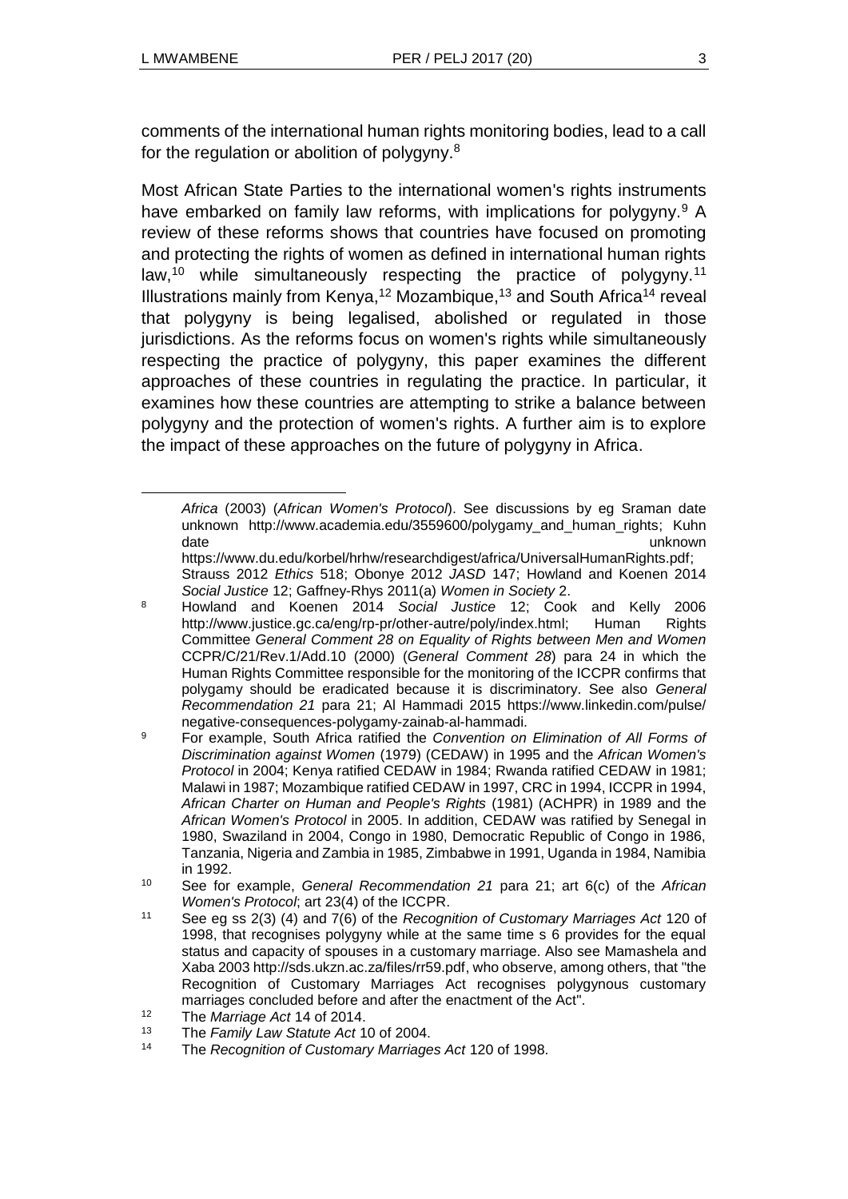l

comments of the international human rights monitoring bodies, lead to a call for the regulation or abolition of polygyny.<sup>8</sup>

Most African State Parties to the international women's rights instruments have embarked on family law reforms, with implications for polygyny.<sup>9</sup> A review of these reforms shows that countries have focused on promoting and protecting the rights of women as defined in international human rights law,<sup>10</sup> while simultaneously respecting the practice of polygyny.<sup>11</sup> Illustrations mainly from Kenya,<sup>12</sup> Mozambique,<sup>13</sup> and South Africa<sup>14</sup> reveal that polygyny is being legalised, abolished or regulated in those jurisdictions. As the reforms focus on women's rights while simultaneously respecting the practice of polygyny, this paper examines the different approaches of these countries in regulating the practice. In particular, it examines how these countries are attempting to strike a balance between polygyny and the protection of women's rights. A further aim is to explore the impact of these approaches on the future of polygyny in Africa.

*Africa* (2003) (*African Women's Protocol*). See discussions by eg Sraman date unknown http://www.academia.edu/3559600/polygamy\_and\_human\_rights; Kuhn date when the control of the control of the control of the control of the control of the control of the control of the control of the control of the control of the control of the control of the control of the control of th

https://www.du.edu/korbel/hrhw/researchdigest/africa/UniversalHumanRights.pdf; Strauss 2012 *Ethics* 518; Obonye 2012 *JASD* 147; Howland and Koenen 2014 *Social Justice* 12; Gaffney-Rhys 2011(a) *Women in Society* 2.

<sup>8</sup> Howland and Koenen 2014 *Social Justice* 12; Cook and Kelly 2006 http://www.justice.gc.ca/eng/rp-pr/other-autre/poly/index.html; Human Rights Committee *General Comment 28 on Equality of Rights between Men and Women* CCPR/C/21/Rev.1/Add.10 (2000) (*General Comment 28*) para 24 in which the Human Rights Committee responsible for the monitoring of the ICCPR confirms that polygamy should be eradicated because it is discriminatory. See also *General Recommendation 21* para 21; Al Hammadi 2015 https://www.linkedin.com/pulse/ negative-consequences-polygamy-zainab-al-hammadi.

<sup>9</sup> For example, South Africa ratified the *Convention on Elimination of All Forms of Discrimination against Women* (1979) (CEDAW) in 1995 and the *African Women's Protocol* in 2004; Kenya ratified CEDAW in 1984; Rwanda ratified CEDAW in 1981; Malawi in 1987; Mozambique ratified CEDAW in 1997, CRC in 1994, ICCPR in 1994, *African Charter on Human and People's Rights* (1981) (ACHPR) in 1989 and the *African Women's Protocol* in 2005. In addition, CEDAW was ratified by Senegal in 1980, Swaziland in 2004, Congo in 1980, Democratic Republic of Congo in 1986, Tanzania, Nigeria and Zambia in 1985, Zimbabwe in 1991, Uganda in 1984, Namibia in 1992.

<sup>10</sup> See for example, *General Recommendation 21* para 21; art 6(c) of the *African Women's Protocol*; art 23(4) of the ICCPR.

<sup>11</sup> See eg ss 2(3) (4) and 7(6) of the *Recognition of Customary Marriages Act* 120 of 1998, that recognises polygyny while at the same time s 6 provides for the equal status and capacity of spouses in a customary marriage. Also see Mamashela and Xaba 2003 http://sds.ukzn.ac.za/files/rr59.pdf, who observe, among others, that "the Recognition of Customary Marriages Act recognises polygynous customary marriages concluded before and after the enactment of the Act".

<sup>12</sup> The *Marriage Act* 14 of 2014.

<sup>13</sup> The *Family Law Statute Act* 10 of 2004.

<sup>14</sup> The *Recognition of Customary Marriages Act* 120 of 1998.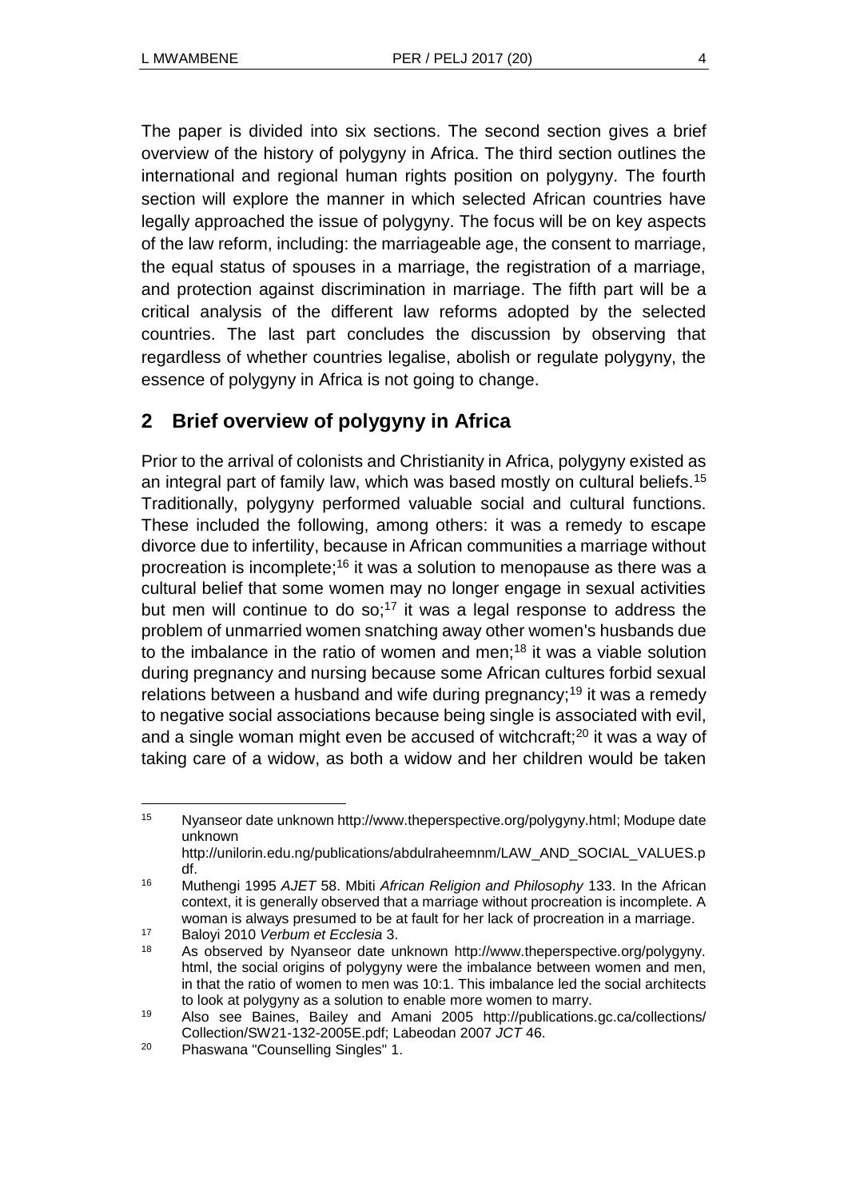The paper is divided into six sections. The second section gives a brief overview of the history of polygyny in Africa. The third section outlines the international and regional human rights position on polygyny. The fourth section will explore the manner in which selected African countries have legally approached the issue of polygyny. The focus will be on key aspects of the law reform, including: the marriageable age, the consent to marriage, the equal status of spouses in a marriage, the registration of a marriage, and protection against discrimination in marriage. The fifth part will be a critical analysis of the different law reforms adopted by the selected countries. The last part concludes the discussion by observing that regardless of whether countries legalise, abolish or regulate polygyny, the essence of polygyny in Africa is not going to change.

# **2 Brief overview of polygyny in Africa**

Prior to the arrival of colonists and Christianity in Africa, polygyny existed as an integral part of family law, which was based mostly on cultural beliefs.<sup>15</sup> Traditionally, polygyny performed valuable social and cultural functions. These included the following, among others: it was a remedy to escape divorce due to infertility, because in African communities a marriage without procreation is incomplete;<sup>16</sup> it was a solution to menopause as there was a cultural belief that some women may no longer engage in sexual activities but men will continue to do so;<sup>17</sup> it was a legal response to address the problem of unmarried women snatching away other women's husbands due to the imbalance in the ratio of women and men;<sup>18</sup> it was a viable solution during pregnancy and nursing because some African cultures forbid sexual relations between a husband and wife during pregnancy;<sup>19</sup> it was a remedy to negative social associations because being single is associated with evil, and a single woman might even be accused of witchcraft;<sup>20</sup> it was a way of taking care of a widow, as both a widow and her children would be taken

<sup>15</sup> Nyanseor date unknown http://www.theperspective.org/polygyny.html; Modupe date unknown http://unilorin.edu.ng/publications/abdulraheemnm/LAW\_AND\_SOCIAL\_VALUES.p

df. <sup>16</sup> Muthengi 1995 *AJET* 58. Mbiti *African Religion and Philosophy* 133. In the African

context, it is generally observed that a marriage without procreation is incomplete. A woman is always presumed to be at fault for her lack of procreation in a marriage.

<sup>17</sup> Baloyi 2010 *Verbum et Ecclesia* 3.

<sup>18</sup> As observed by Nyanseor date unknown http://www.theperspective.org/polygyny. html, the social origins of polygyny were the imbalance between women and men, in that the ratio of women to men was 10:1. This imbalance led the social architects to look at polygyny as a solution to enable more women to marry.

<sup>19</sup> Also see Baines, Bailey and Amani 2005 http://publications.gc.ca/collections/ Collection/SW21-132-2005E.pdf; Labeodan 2007 *JCT* 46.

<sup>20</sup> Phaswana "Counselling Singles" 1.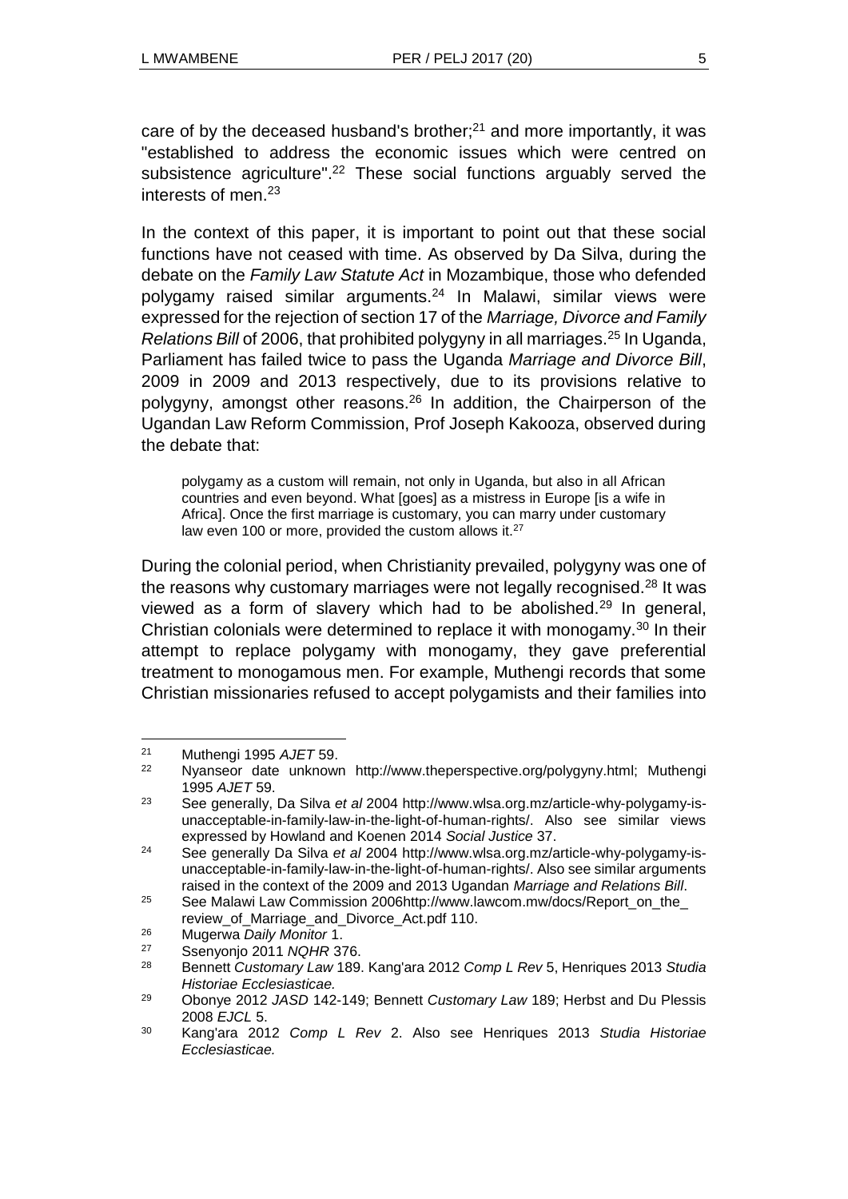care of by the deceased husband's brother; $^{21}$  and more importantly, it was "established to address the economic issues which were centred on subsistence agriculture".<sup>22</sup> These social functions arguably served the interests of men.<sup>23</sup>

In the context of this paper, it is important to point out that these social functions have not ceased with time. As observed by Da Silva, during the debate on the *Family Law Statute Act* in Mozambique, those who defended polygamy raised similar arguments.<sup>24</sup> In Malawi, similar views were expressed for the rejection of section 17 of the *Marriage, Divorce and Family Relations Bill* of 2006, that prohibited polygyny in all marriages.<sup>25</sup> In Uganda, Parliament has failed twice to pass the Uganda *Marriage and Divorce Bill*, 2009 in 2009 and 2013 respectively, due to its provisions relative to polygyny, amongst other reasons.<sup>26</sup> In addition, the Chairperson of the Ugandan Law Reform Commission, Prof Joseph Kakooza, observed during the debate that:

polygamy as a custom will remain, not only in Uganda, but also in all African countries and even beyond. What [goes] as a mistress in Europe [is a wife in Africa]. Once the first marriage is customary, you can marry under customary law even 100 or more, provided the custom allows it.<sup>27</sup>

During the colonial period, when Christianity prevailed, polygyny was one of the reasons why customary marriages were not legally recognised.<sup>28</sup> It was viewed as a form of slavery which had to be abolished.<sup>29</sup> In general, Christian colonials were determined to replace it with monogamy. $30$  In their attempt to replace polygamy with monogamy, they gave preferential treatment to monogamous men. For example, Muthengi records that some Christian missionaries refused to accept polygamists and their families into

<sup>21</sup> Muthengi 1995 *AJET* 59.

<sup>22</sup> Nyanseor date unknown http://www.theperspective.org/polygyny.html; Muthengi 1995 *AJET* 59.

<sup>23</sup> See generally, Da Silva *et al* 2004 http://www.wlsa.org.mz/article-why-polygamy-isunacceptable-in-family-law-in-the-light-of-human-rights/. Also see similar views expressed by Howland and Koenen 2014 *Social Justice* 37.

<sup>24</sup> See generally Da Silva *et al* 2004 http://www.wlsa.org.mz/article-why-polygamy-isunacceptable-in-family-law-in-the-light-of-human-rights/. Also see similar arguments raised in the context of the 2009 and 2013 Ugandan *Marriage and Relations Bill*.

<sup>25</sup> See Malawi Law Commission 2006http://www.lawcom.mw/docs/Report\_on\_the\_ review of Marriage and Divorce Act.pdf 110.

<sup>26</sup> Mugerwa *Daily Monitor* 1.

<sup>27</sup> Ssenyonjo 2011 *NQHR* 376.

<sup>28</sup> Bennett *Customary Law* 189. Kang'ara 2012 *Comp L Rev* 5, Henriques 2013 *Studia Historiae Ecclesiasticae.*

<sup>29</sup> Obonye 2012 *JASD* 142-149; Bennett *Customary Law* 189; Herbst and Du Plessis 2008 *EJCL* 5.

<sup>30</sup> Kang'ara 2012 *Comp L Rev* 2. Also see Henriques 2013 *Studia Historiae Ecclesiasticae.*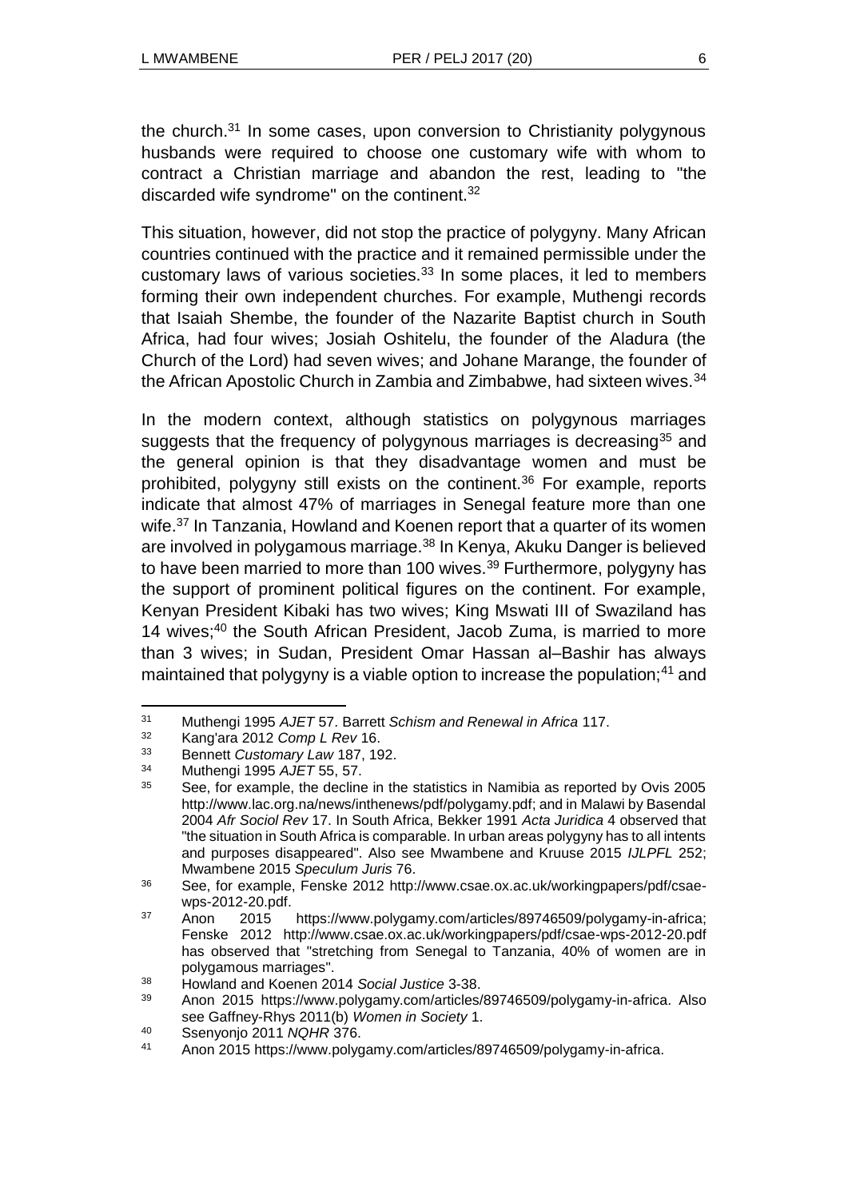the church. $31$  In some cases, upon conversion to Christianity polygynous husbands were required to choose one customary wife with whom to contract a Christian marriage and abandon the rest, leading to "the discarded wife syndrome" on the continent.<sup>32</sup>

This situation, however, did not stop the practice of polygyny. Many African countries continued with the practice and it remained permissible under the customary laws of various societies.<sup>33</sup> In some places, it led to members forming their own independent churches. For example, Muthengi records that Isaiah Shembe, the founder of the Nazarite Baptist church in South Africa, had four wives; Josiah Oshitelu, the founder of the Aladura (the Church of the Lord) had seven wives; and Johane Marange, the founder of the African Apostolic Church in Zambia and Zimbabwe, had sixteen wives.<sup>34</sup>

In the modern context, although statistics on polygynous marriages suggests that the frequency of polygynous marriages is decreasing<sup>35</sup> and the general opinion is that they disadvantage women and must be prohibited, polygyny still exists on the continent.<sup>36</sup> For example, reports indicate that almost 47% of marriages in Senegal feature more than one wife.<sup>37</sup> In Tanzania, Howland and Koenen report that a quarter of its women are involved in polygamous marriage.<sup>38</sup> In Kenya, Akuku Danger is believed to have been married to more than 100 wives.<sup>39</sup> Furthermore, polygyny has the support of prominent political figures on the continent. For example, Kenyan President Kibaki has two wives; King Mswati III of Swaziland has 14 wives:<sup>40</sup> the South African President, Jacob Zuma, is married to more than 3 wives; in Sudan, President Omar Hassan al–Bashir has always maintained that polygyny is a viable option to increase the population;<sup>41</sup> and

<sup>31</sup> Muthengi 1995 *AJET* 57. Barrett *Schism and Renewal in Africa* 117.

<sup>32</sup> Kang'ara 2012 *Comp L Rev* 16.

<sup>33</sup> Bennett *Customary Law* 187, 192.

<sup>34</sup> Muthengi 1995 *AJET* 55, 57.

<sup>35</sup> See, for example, the decline in the statistics in Namibia as reported by Ovis 2005 http://www.lac.org.na/news/inthenews/pdf/polygamy.pdf; and in Malawi by Basendal 2004 *Afr Sociol Rev* 17. In South Africa, Bekker 1991 *Acta Juridica* 4 observed that "the situation in South Africa is comparable. In urban areas polygyny has to all intents and purposes disappeared". Also see Mwambene and Kruuse 2015 *IJLPFL* 252; Mwambene 2015 *Speculum Juris* 76.

<sup>36</sup> See, for example, Fenske 2012 http://www.csae.ox.ac.uk/workingpapers/pdf/csaewps-2012-20.pdf.

<sup>37</sup> Anon 2015 https://www.polygamy.com/articles/89746509/polygamy-in-africa; Fenske 2012 http://www.csae.ox.ac.uk/workingpapers/pdf/csae-wps-2012-20.pdf has observed that "stretching from Senegal to Tanzania, 40% of women are in polygamous marriages".

<sup>38</sup> Howland and Koenen 2014 *Social Justice* 3-38.

<sup>39</sup> Anon 2015 https://www.polygamy.com/articles/89746509/polygamy-in-africa. Also see Gaffney-Rhys 2011(b) *Women in Society* 1.

<sup>40</sup> Ssenyonjo 2011 *NQHR* 376.

<sup>41</sup> Anon 2015 https://www.polygamy.com/articles/89746509/polygamy-in-africa.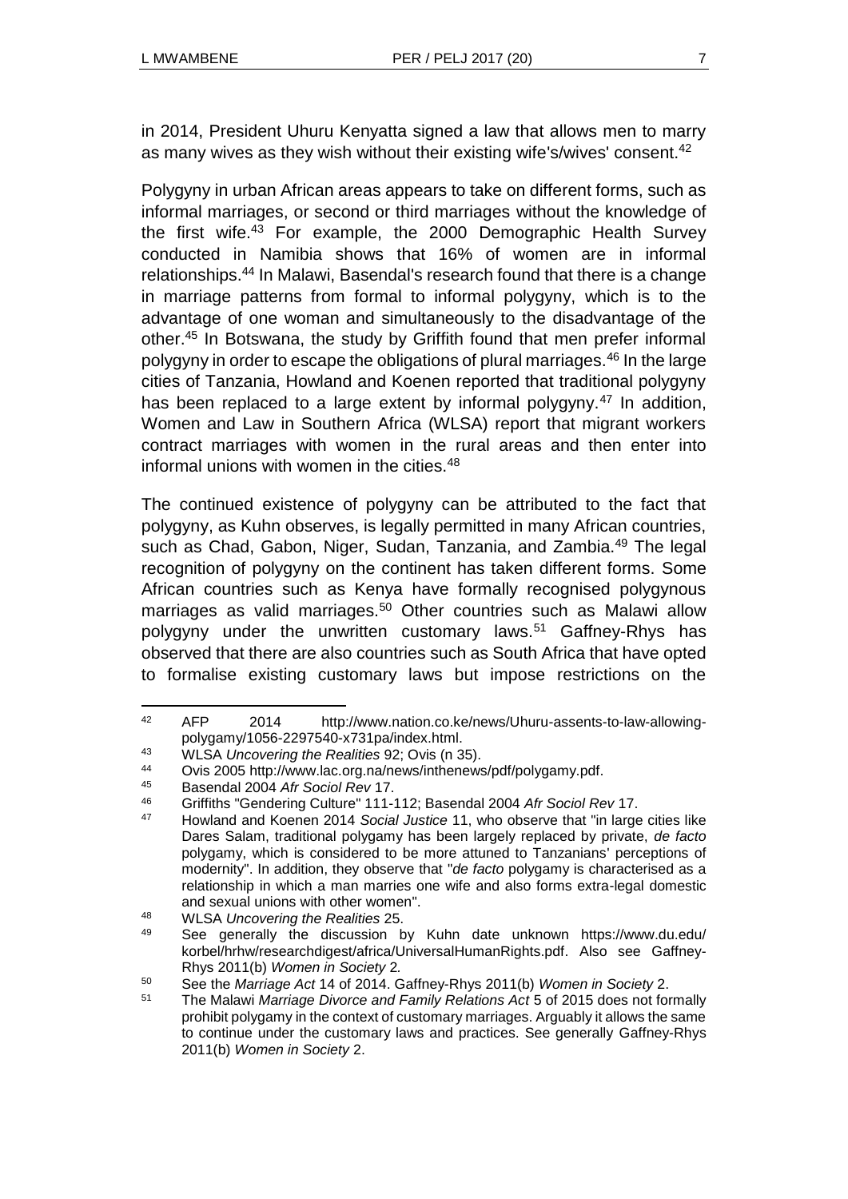in 2014, President Uhuru Kenyatta signed a law that allows men to marry as many wives as they wish without their existing wife's/wives' consent.<sup>42</sup>

Polygyny in urban African areas appears to take on different forms, such as informal marriages, or second or third marriages without the knowledge of the first wife.<sup>43</sup> For example, the 2000 Demographic Health Survey conducted in Namibia shows that 16% of women are in informal relationships.<sup>44</sup> In Malawi, Basendal's research found that there is a change in marriage patterns from formal to informal polygyny, which is to the advantage of one woman and simultaneously to the disadvantage of the other.<sup>45</sup> In Botswana, the study by Griffith found that men prefer informal polygyny in order to escape the obligations of plural marriages.<sup>46</sup> In the large cities of Tanzania, Howland and Koenen reported that traditional polygyny has been replaced to a large extent by informal polygyny.<sup>47</sup> In addition, Women and Law in Southern Africa (WLSA) report that migrant workers contract marriages with women in the rural areas and then enter into informal unions with women in the cities.<sup>48</sup>

The continued existence of polygyny can be attributed to the fact that polygyny, as Kuhn observes, is legally permitted in many African countries, such as Chad, Gabon, Niger, Sudan, Tanzania, and Zambia.<sup>49</sup> The legal recognition of polygyny on the continent has taken different forms. Some African countries such as Kenya have formally recognised polygynous marriages as valid marriages.<sup>50</sup> Other countries such as Malawi allow polygyny under the unwritten customary laws.<sup>51</sup> Gaffney-Rhys has observed that there are also countries such as South Africa that have opted to formalise existing customary laws but impose restrictions on the

l <sup>42</sup> AFP 2014 http://www.nation.co.ke/news/Uhuru-assents-to-law-allowingpolygamy/1056-2297540-x731pa/index.html.

<sup>43</sup> WLSA *Uncovering the Realities* 92; Ovis (n 35).

<sup>44</sup> Ovis 2005 http://www.lac.org.na/news/inthenews/pdf/polygamy.pdf.<br>45 Basendal 2004 Afr Social Rev.17

<sup>45</sup> Basendal 2004 *Afr Sociol Rev* 17.

<sup>46</sup> Griffiths "Gendering Culture" 111-112; Basendal 2004 *Afr Sociol Rev* 17.

<sup>47</sup> Howland and Koenen 2014 *Social Justice* 11, who observe that "in large cities like Dares Salam, traditional polygamy has been largely replaced by private, *de facto* polygamy, which is considered to be more attuned to Tanzanians' perceptions of modernity". In addition, they observe that "*de facto* polygamy is characterised as a relationship in which a man marries one wife and also forms extra-legal domestic and sexual unions with other women".

<sup>48</sup> WLSA *Uncovering the Realities* 25.

See generally the discussion by Kuhn date unknown https://www.du.edu/ korbel/hrhw/researchdigest/africa/UniversalHumanRights.pdf. Also see Gaffney-Rhys 2011(b) *Women in Society* 2*.*

<sup>50</sup> See the *Marriage Act* 14 of 2014. Gaffney-Rhys 2011(b) *Women in Society* 2.

<sup>51</sup> The Malawi *Marriage Divorce and Family Relations Act* 5 of 2015 does not formally prohibit polygamy in the context of customary marriages. Arguably it allows the same to continue under the customary laws and practices. See generally Gaffney-Rhys 2011(b) *Women in Society* 2.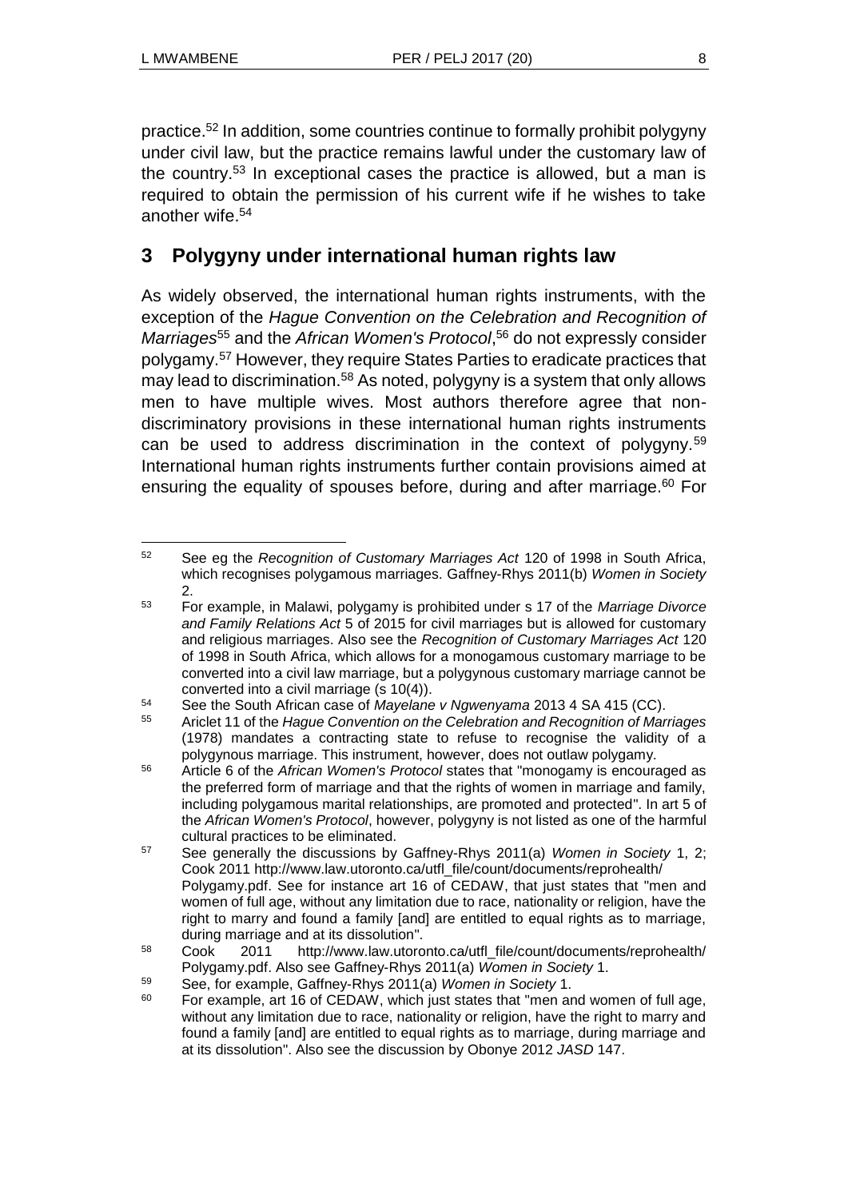practice.<sup>52</sup> In addition, some countries continue to formally prohibit polygyny under civil law, but the practice remains lawful under the customary law of the country.<sup>53</sup> In exceptional cases the practice is allowed, but a man is required to obtain the permission of his current wife if he wishes to take another wife.<sup>54</sup>

# **3 Polygyny under international human rights law**

As widely observed, the international human rights instruments, with the exception of the *Hague Convention on the Celebration and Recognition of*  Marriages<sup>55</sup> and the *African Women's Protocol*,<sup>56</sup> do not expressly consider polygamy.<sup>57</sup> However, they require States Parties to eradicate practices that may lead to discrimination.<sup>58</sup> As noted, polygyny is a system that only allows men to have multiple wives. Most authors therefore agree that nondiscriminatory provisions in these international human rights instruments can be used to address discrimination in the context of polygyny.<sup>59</sup> International human rights instruments further contain provisions aimed at ensuring the equality of spouses before, during and after marriage.<sup>60</sup> For

 $\overline{a}$ <sup>52</sup> See eg the *Recognition of Customary Marriages Act* 120 of 1998 in South Africa, which recognises polygamous marriages. Gaffney-Rhys 2011(b) *Women in Society* 2.

<sup>53</sup> For example, in Malawi, polygamy is prohibited under s 17 of the *Marriage Divorce and Family Relations Act* 5 of 2015 for civil marriages but is allowed for customary and religious marriages. Also see the *Recognition of Customary Marriages Act* 120 of 1998 in South Africa, which allows for a monogamous customary marriage to be converted into a civil law marriage, but a polygynous customary marriage cannot be converted into a civil marriage (s 10(4)).

<sup>54</sup> See the South African case of *Mayelane v Ngwenyama* 2013 4 SA 415 (CC).

<sup>55</sup> Ariclet 11 of the *Hague Convention on the Celebration and Recognition of Marriages* (1978) mandates a contracting state to refuse to recognise the validity of a polygynous marriage. This instrument, however, does not outlaw polygamy.

<sup>56</sup> Article 6 of the *African Women's Protocol* states that "monogamy is encouraged as the preferred form of marriage and that the rights of women in marriage and family, including polygamous marital relationships, are promoted and protected". In art 5 of the *African Women's Protocol*, however, polygyny is not listed as one of the harmful cultural practices to be eliminated.

<sup>57</sup> See generally the discussions by Gaffney-Rhys 2011(a) *Women in Society* 1, 2; Cook 2011 http://www.law.utoronto.ca/utfl\_file/count/documents/reprohealth/ Polygamy.pdf. See for instance art 16 of CEDAW, that just states that "men and women of full age, without any limitation due to race, nationality or religion, have the right to marry and found a family [and] are entitled to equal rights as to marriage, during marriage and at its dissolution".

<sup>58</sup> Cook 2011 http://www.law.utoronto.ca/utfl\_file/count/documents/reprohealth/ Polygamy.pdf. Also see Gaffney-Rhys 2011(a) *Women in Society* 1.

<sup>59</sup> See, for example, Gaffney-Rhys 2011(a) *Women in Society* 1.

 $60$  For example, art 16 of CEDAW, which just states that "men and women of full age, without any limitation due to race, nationality or religion, have the right to marry and found a family [and] are entitled to equal rights as to marriage, during marriage and at its dissolution". Also see the discussion by Obonye 2012 *JASD* 147.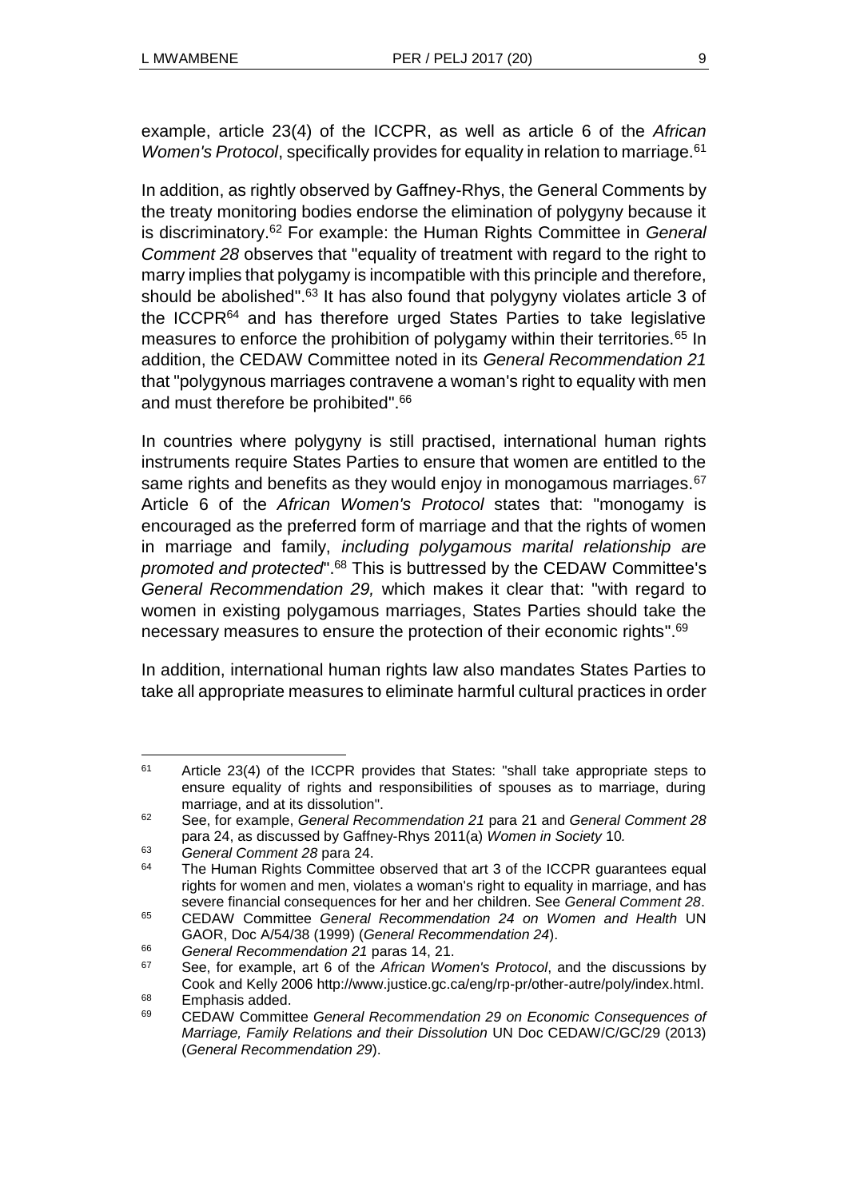example, article 23(4) of the ICCPR, as well as article 6 of the *African Women's Protocol, specifically provides for equality in relation to marriage.*<sup>61</sup>

In addition, as rightly observed by Gaffney-Rhys, the General Comments by the treaty monitoring bodies endorse the elimination of polygyny because it is discriminatory.<sup>62</sup> For example: the Human Rights Committee in *General Comment 28* observes that "equality of treatment with regard to the right to marry implies that polygamy is incompatible with this principle and therefore, should be abolished".<sup>63</sup> It has also found that polygyny violates article 3 of the ICCPR<sup>64</sup> and has therefore urged States Parties to take legislative measures to enforce the prohibition of polygamy within their territories.<sup>65</sup> In addition, the CEDAW Committee noted in its *General Recommendation 21*  that "polygynous marriages contravene a woman's right to equality with men and must therefore be prohibited".<sup>66</sup>

In countries where polygyny is still practised, international human rights instruments require States Parties to ensure that women are entitled to the same rights and benefits as they would enjoy in monogamous marriages.<sup>67</sup> Article 6 of the *African Women's Protocol* states that: "monogamy is encouraged as the preferred form of marriage and that the rights of women in marriage and family, *including polygamous marital relationship are promoted and protected*".<sup>68</sup> This is buttressed by the CEDAW Committee's *General Recommendation 29,* which makes it clear that: "with regard to women in existing polygamous marriages, States Parties should take the necessary measures to ensure the protection of their economic rights".<sup>69</sup>

In addition, international human rights law also mandates States Parties to take all appropriate measures to eliminate harmful cultural practices in order

l <sup>61</sup> Article 23(4) of the ICCPR provides that States: "shall take appropriate steps to ensure equality of rights and responsibilities of spouses as to marriage, during marriage, and at its dissolution".

<sup>62</sup> See, for example, *General Recommendation 21* para 21 and *General Comment 28*  para 24, as discussed by Gaffney-Rhys 2011(a) *Women in Society* 10*.*

<sup>63</sup> *General Comment 28* para 24.

 $64$  The Human Rights Committee observed that art 3 of the ICCPR quarantees equal rights for women and men, violates a woman's right to equality in marriage, and has severe financial consequences for her and her children. See *General Comment 28*.

<sup>65</sup> CEDAW Committee *General Recommendation 24 on Women and Health* UN GAOR, Doc A/54/38 (1999) (*General Recommendation 24*).

<sup>66</sup> *General Recommendation 21* paras 14, 21.

<sup>67</sup> See, for example, art 6 of the *African Women's Protocol*, and the discussions by Cook and Kelly 2006 http://www.justice.gc.ca/eng/rp-pr/other-autre/poly/index.html.

<sup>&</sup>lt;sup>68</sup> Emphasis added.

<sup>69</sup> CEDAW Committee *General Recommendation 29 on Economic Consequences of Marriage, Family Relations and their Dissolution* UN Doc CEDAW/C/GC/29 (2013) (*General Recommendation 29*).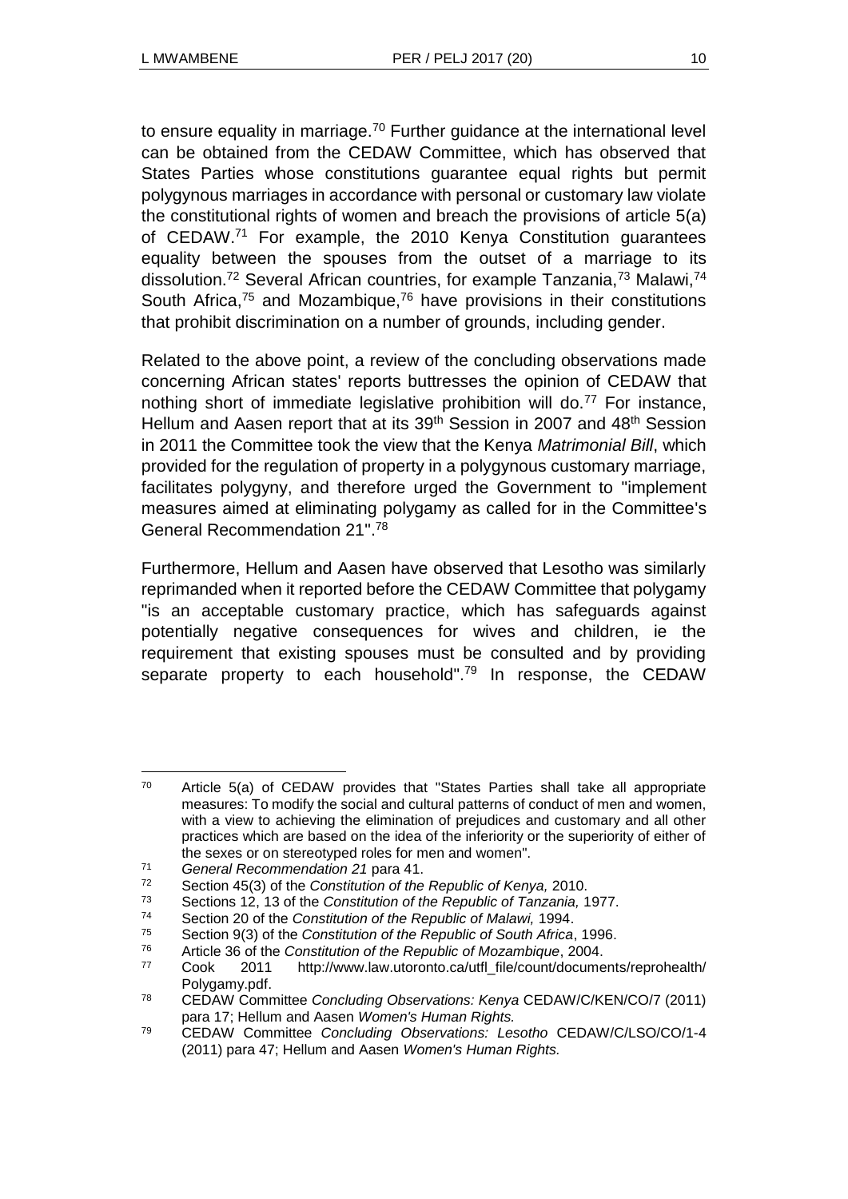to ensure equality in marriage.<sup>70</sup> Further guidance at the international level can be obtained from the CEDAW Committee, which has observed that States Parties whose constitutions guarantee equal rights but permit polygynous marriages in accordance with personal or customary law violate the constitutional rights of women and breach the provisions of article 5(a) of CEDAW.<sup>71</sup> For example, the 2010 Kenya Constitution guarantees equality between the spouses from the outset of a marriage to its dissolution.<sup>72</sup> Several African countries, for example Tanzania.<sup>73</sup> Malawi.<sup>74</sup> South Africa, $75$  and Mozambique, $76$  have provisions in their constitutions that prohibit discrimination on a number of grounds, including gender.

Related to the above point, a review of the concluding observations made concerning African states' reports buttresses the opinion of CEDAW that nothing short of immediate legislative prohibition will do.<sup>77</sup> For instance, Hellum and Aasen report that at its 39<sup>th</sup> Session in 2007 and 48<sup>th</sup> Session in 2011 the Committee took the view that the Kenya *Matrimonial Bill*, which provided for the regulation of property in a polygynous customary marriage, facilitates polygyny, and therefore urged the Government to "implement measures aimed at eliminating polygamy as called for in the Committee's General Recommendation 21".<sup>78</sup>

Furthermore, Hellum and Aasen have observed that Lesotho was similarly reprimanded when it reported before the CEDAW Committee that polygamy "is an acceptable customary practice, which has safeguards against potentially negative consequences for wives and children, ie the requirement that existing spouses must be consulted and by providing separate property to each household".<sup>79</sup> In response, the CEDAW

l <sup>70</sup> Article 5(a) of CEDAW provides that "States Parties shall take all appropriate measures: To modify the social and cultural patterns of conduct of men and women, with a view to achieving the elimination of prejudices and customary and all other practices which are based on the idea of the inferiority or the superiority of either of the sexes or on stereotyped roles for men and women".

<sup>71</sup> *General Recommendation 21* para 41.

<sup>72</sup> Section 45(3) of the *Constitution of the Republic of Kenya,* 2010.

<sup>73</sup> Sections 12, 13 of the *Constitution of the Republic of Tanzania,* 1977.

<sup>74</sup> Section 20 of the *Constitution of the Republic of Malawi,* 1994.

<sup>75</sup> Section 9(3) of the *Constitution of the Republic of South Africa*, 1996.

<sup>76</sup> Article 36 of the *Constitution of the Republic of Mozambique*, 2004.

<sup>77</sup> Cook 2011 http://www.law.utoronto.ca/utfl\_file/count/documents/reprohealth/ Polygamy.pdf.

<sup>78</sup> CEDAW Committee *Concluding Observations: Kenya* CEDAW/C/KEN/CO/7 (2011) para 17; Hellum and Aasen *Women's Human Rights.*

<sup>79</sup> CEDAW Committee *Concluding Observations: Lesotho* CEDAW/C/LSO/CO/1-4 (2011) para 47; Hellum and Aasen *Women's Human Rights.*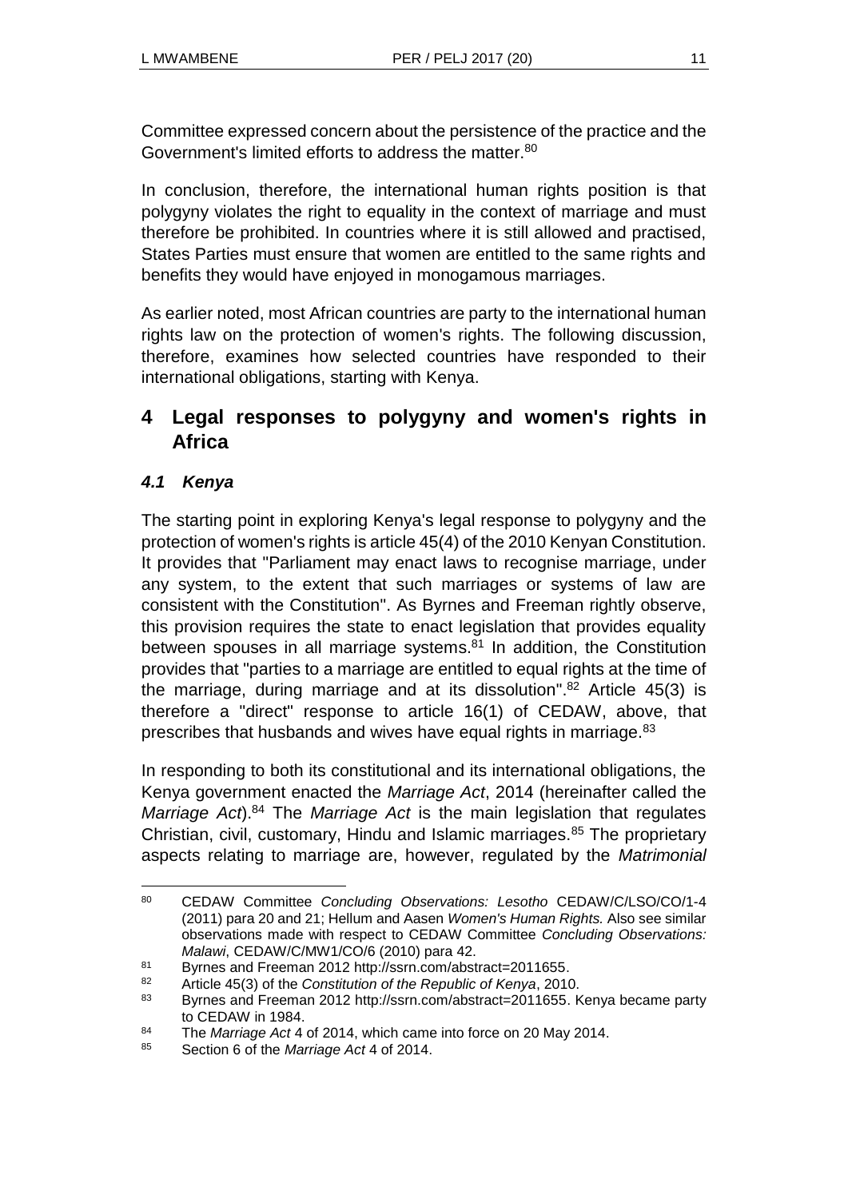Committee expressed concern about the persistence of the practice and the Government's limited efforts to address the matter.<sup>80</sup>

In conclusion, therefore, the international human rights position is that polygyny violates the right to equality in the context of marriage and must therefore be prohibited. In countries where it is still allowed and practised, States Parties must ensure that women are entitled to the same rights and benefits they would have enjoyed in monogamous marriages.

As earlier noted, most African countries are party to the international human rights law on the protection of women's rights. The following discussion, therefore, examines how selected countries have responded to their international obligations, starting with Kenya.

# **4 Legal responses to polygyny and women's rights in Africa**

# *4.1 Kenya*

The starting point in exploring Kenya's legal response to polygyny and the protection of women's rights is article 45(4) of the 2010 Kenyan Constitution. It provides that "Parliament may enact laws to recognise marriage, under any system, to the extent that such marriages or systems of law are consistent with the Constitution". As Byrnes and Freeman rightly observe, this provision requires the state to enact legislation that provides equality between spouses in all marriage systems.<sup>81</sup> In addition, the Constitution provides that "parties to a marriage are entitled to equal rights at the time of the marriage, during marriage and at its dissolution". $82$  Article 45(3) is therefore a "direct" response to article 16(1) of CEDAW, above, that prescribes that husbands and wives have equal rights in marriage.<sup>83</sup>

In responding to both its constitutional and its international obligations, the Kenya government enacted the *Marriage Act*, 2014 (hereinafter called the *Marriage Act*).<sup>84</sup> The *Marriage Act* is the main legislation that regulates Christian, civil, customary, Hindu and Islamic marriages. $85$  The proprietary aspects relating to marriage are, however, regulated by the *Matrimonial* 

<sup>80</sup> <sup>80</sup> CEDAW Committee *Concluding Observations: Lesotho* CEDAW/C/LSO/CO/1-4 (2011) para 20 and 21; Hellum and Aasen *Women's Human Rights.* Also see similar observations made with respect to CEDAW Committee *Concluding Observations: Malawi*, CEDAW/C/MW1/CO/6 (2010) para 42.

<sup>81</sup> Byrnes and Freeman 2012 http://ssrn.com/abstract=2011655.

<sup>82</sup> Article 45(3) of the *Constitution of the Republic of Kenya*, 2010.

<sup>83</sup> Byrnes and Freeman 2012 http://ssrn.com/abstract=2011655. Kenya became party to CEDAW in 1984.

<sup>84</sup> The *Marriage Act* 4 of 2014, which came into force on 20 May 2014.

<sup>85</sup> Section 6 of the *Marriage Act* 4 of 2014.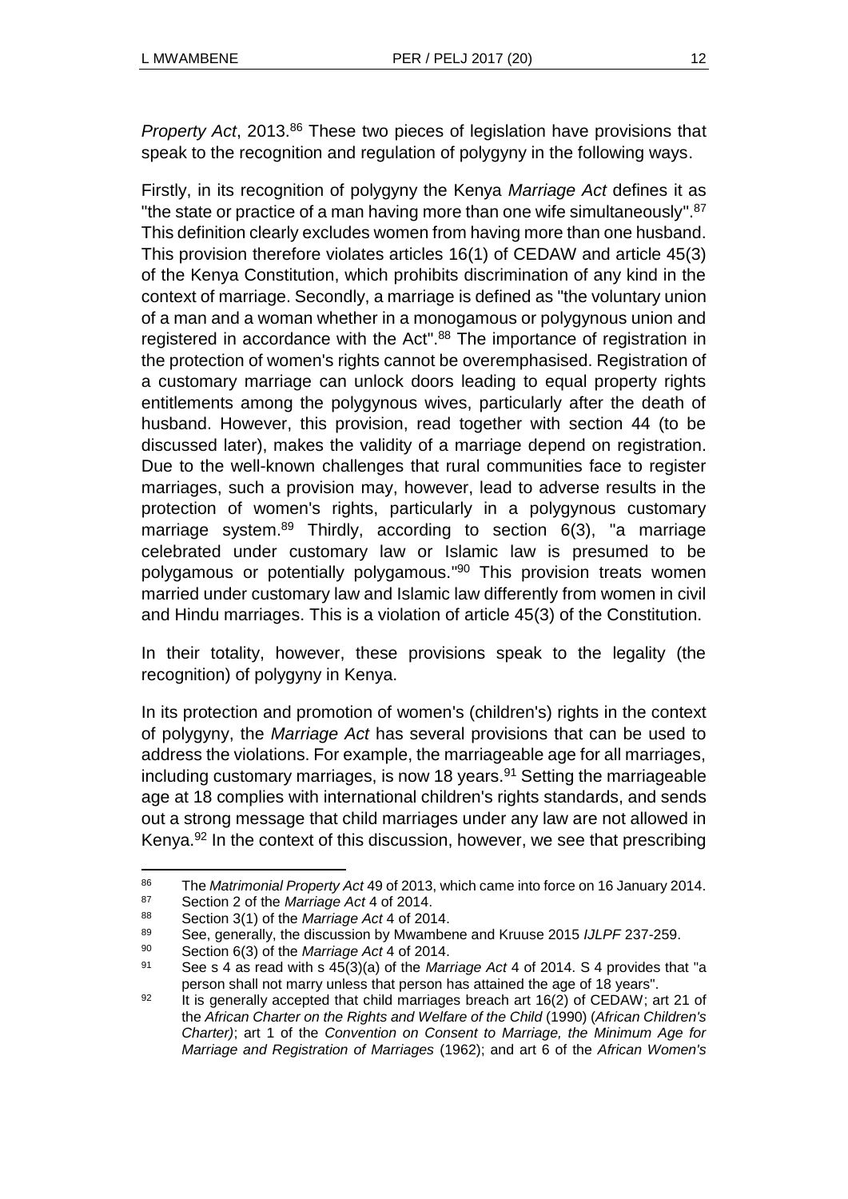*Property Act*, 2013.<sup>86</sup> These two pieces of legislation have provisions that speak to the recognition and regulation of polygyny in the following ways.

Firstly, in its recognition of polygyny the Kenya *Marriage Act* defines it as "the state or practice of a man having more than one wife simultaneously".<sup>87</sup> This definition clearly excludes women from having more than one husband. This provision therefore violates articles 16(1) of CEDAW and article 45(3) of the Kenya Constitution, which prohibits discrimination of any kind in the context of marriage. Secondly, a marriage is defined as "the voluntary union of a man and a woman whether in a monogamous or polygynous union and registered in accordance with the Act".<sup>88</sup> The importance of registration in the protection of women's rights cannot be overemphasised. Registration of a customary marriage can unlock doors leading to equal property rights entitlements among the polygynous wives, particularly after the death of husband. However, this provision, read together with section 44 (to be discussed later), makes the validity of a marriage depend on registration. Due to the well-known challenges that rural communities face to register marriages, such a provision may, however, lead to adverse results in the protection of women's rights, particularly in a polygynous customary marriage system.<sup>89</sup> Thirdly, according to section  $6(3)$ , "a marriage celebrated under customary law or Islamic law is presumed to be polygamous or potentially polygamous." <sup>90</sup> This provision treats women married under customary law and Islamic law differently from women in civil and Hindu marriages. This is a violation of article 45(3) of the Constitution.

In their totality, however, these provisions speak to the legality (the recognition) of polygyny in Kenya.

In its protection and promotion of women's (children's) rights in the context of polygyny, the *Marriage Act* has several provisions that can be used to address the violations. For example, the marriageable age for all marriages, including customary marriages, is now 18 years.<sup>91</sup> Setting the marriageable age at 18 complies with international children's rights standards, and sends out a strong message that child marriages under any law are not allowed in Kenya.<sup>92</sup> In the context of this discussion, however, we see that prescribing

<sup>86</sup> The *Matrimonial Property Act* 49 of 2013, which came into force on 16 January 2014.

<sup>87</sup> Section 2 of the *Marriage Act* 4 of 2014.

<sup>88</sup> Section 3(1) of the *Marriage Act* 4 of 2014.

<sup>89</sup> See, generally, the discussion by Mwambene and Kruuse 2015 *IJLPF* 237-259.

<sup>90</sup> Section 6(3) of the *Marriage Act* 4 of 2014.

<sup>91</sup> See s 4 as read with s 45(3)(a) of the *Marriage Act* 4 of 2014. S 4 provides that "a person shall not marry unless that person has attained the age of 18 years".

 $92$  It is generally accepted that child marriages breach art 16(2) of CEDAW; art 21 of the *African Charter on the Rights and Welfare of the Child* (1990) (*African Children's Charter)*; art 1 of the *Convention on Consent to Marriage, the Minimum Age for Marriage and Registration of Marriages* (1962); and art 6 of the *African Women's*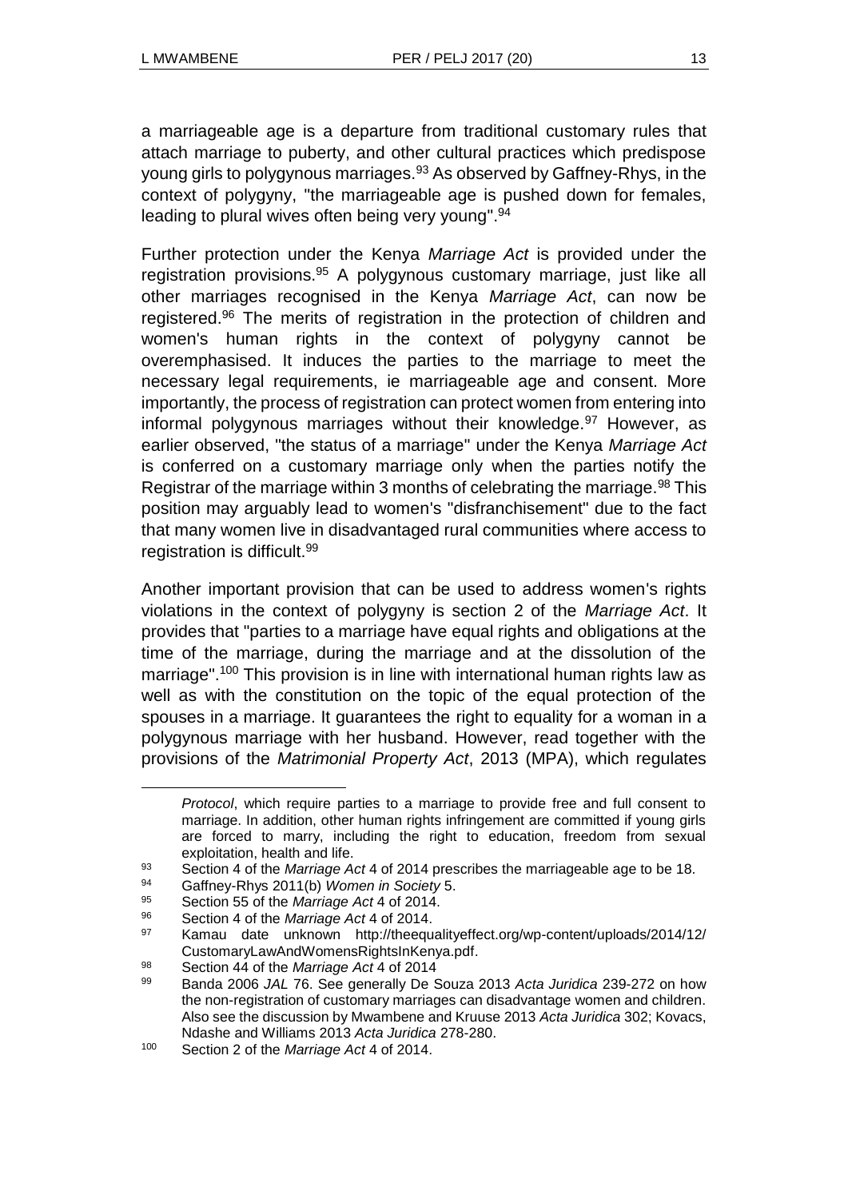a marriageable age is a departure from traditional customary rules that attach marriage to puberty, and other cultural practices which predispose young girls to polygynous marriages.<sup>93</sup> As observed by Gaffney-Rhys, in the context of polygyny, "the marriageable age is pushed down for females, leading to plural wives often being very young".<sup>94</sup>

Further protection under the Kenya *Marriage Act* is provided under the registration provisions.<sup>95</sup> A polygynous customary marriage, just like all other marriages recognised in the Kenya *Marriage Act*, can now be registered.<sup>96</sup> The merits of registration in the protection of children and women's human rights in the context of polygyny cannot be overemphasised. It induces the parties to the marriage to meet the necessary legal requirements, ie marriageable age and consent. More importantly, the process of registration can protect women from entering into informal polygynous marriages without their knowledge.<sup>97</sup> However, as earlier observed, "the status of a marriage" under the Kenya *Marriage Act* is conferred on a customary marriage only when the parties notify the Registrar of the marriage within 3 months of celebrating the marriage.<sup>98</sup> This position may arguably lead to women's "disfranchisement" due to the fact that many women live in disadvantaged rural communities where access to registration is difficult.<sup>99</sup>

Another important provision that can be used to address women's rights violations in the context of polygyny is section 2 of the *Marriage Act*. It provides that "parties to a marriage have equal rights and obligations at the time of the marriage, during the marriage and at the dissolution of the marriage".<sup>100</sup> This provision is in line with international human rights law as well as with the constitution on the topic of the equal protection of the spouses in a marriage. It guarantees the right to equality for a woman in a polygynous marriage with her husband. However, read together with the provisions of the *Matrimonial Property Act*, 2013 (MPA), which regulates

*Protocol*, which require parties to a marriage to provide free and full consent to marriage. In addition, other human rights infringement are committed if young girls are forced to marry, including the right to education, freedom from sexual exploitation, health and life.

<sup>93</sup> Section 4 of the *Marriage Act* 4 of 2014 prescribes the marriageable age to be 18.<br>94 Gaffrey-Phys 2011(b) *Women in Society* 5

<sup>94</sup> Gaffney-Rhys 2011(b) *Women in Society* 5.

<sup>95</sup> Section 55 of the *Marriage Act* 4 of 2014.

<sup>96</sup> Section 4 of the *Marriage Act* 4 of 2014.

<sup>97</sup> Kamau date unknown http://theequalityeffect.org/wp-content/uploads/2014/12/ CustomaryLawAndWomensRightsInKenya.pdf.

<sup>98</sup> Section 44 of the *Marriage Act* 4 of 2014

<sup>99</sup> Banda 2006 *JAL* 76. See generally De Souza 2013 *Acta Juridica* 239-272 on how the non-registration of customary marriages can disadvantage women and children. Also see the discussion by Mwambene and Kruuse 2013 *Acta Juridica* 302; Kovacs, Ndashe and Williams 2013 *Acta Juridica* 278-280.

<sup>100</sup> Section 2 of the *Marriage Act* 4 of 2014.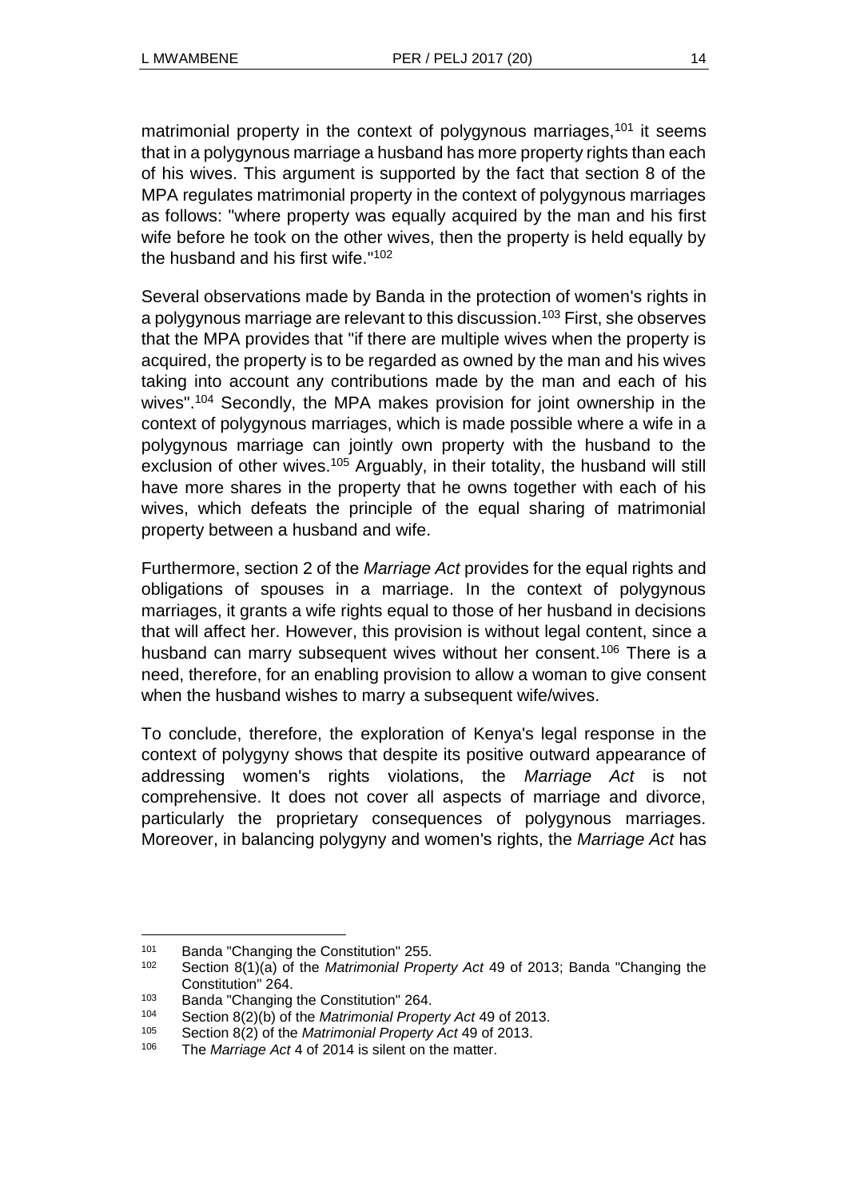matrimonial property in the context of polygynous marriages,  $101$  it seems that in a polygynous marriage a husband has more property rights than each of his wives. This argument is supported by the fact that section 8 of the MPA regulates matrimonial property in the context of polygynous marriages as follows: "where property was equally acquired by the man and his first wife before he took on the other wives, then the property is held equally by the husband and his first wife." 102

Several observations made by Banda in the protection of women's rights in a polygynous marriage are relevant to this discussion.<sup>103</sup> First, she observes that the MPA provides that "if there are multiple wives when the property is acquired, the property is to be regarded as owned by the man and his wives taking into account any contributions made by the man and each of his wives". <sup>104</sup> Secondly, the MPA makes provision for joint ownership in the context of polygynous marriages, which is made possible where a wife in a polygynous marriage can jointly own property with the husband to the exclusion of other wives.<sup>105</sup> Arguably, in their totality, the husband will still have more shares in the property that he owns together with each of his wives, which defeats the principle of the equal sharing of matrimonial property between a husband and wife.

Furthermore, section 2 of the *Marriage Act* provides for the equal rights and obligations of spouses in a marriage. In the context of polygynous marriages, it grants a wife rights equal to those of her husband in decisions that will affect her. However, this provision is without legal content, since a husband can marry subsequent wives without her consent.<sup>106</sup> There is a need, therefore, for an enabling provision to allow a woman to give consent when the husband wishes to marry a subsequent wife/wives.

To conclude, therefore, the exploration of Kenya's legal response in the context of polygyny shows that despite its positive outward appearance of addressing women's rights violations, the *Marriage Act* is not comprehensive. It does not cover all aspects of marriage and divorce, particularly the proprietary consequences of polygynous marriages. Moreover, in balancing polygyny and women's rights, the *Marriage Act* has

<sup>101</sup> Banda "Changing the Constitution" 255.

<sup>102</sup> Section 8(1)(a) of the *Matrimonial Property Act* 49 of 2013; Banda "Changing the Constitution" 264.

<sup>&</sup>lt;sup>103</sup> Banda "Changing the Constitution" 264.<br><sup>104</sup> Section 8(2)(b) of the *Matrimonial Prope* 

<sup>104</sup> Section 8(2)(b) of the *Matrimonial Property Act* 49 of 2013.

<sup>105</sup> Section 8(2) of the *Matrimonial Property Act* 49 of 2013.

<sup>106</sup> The *Marriage Act* 4 of 2014 is silent on the matter.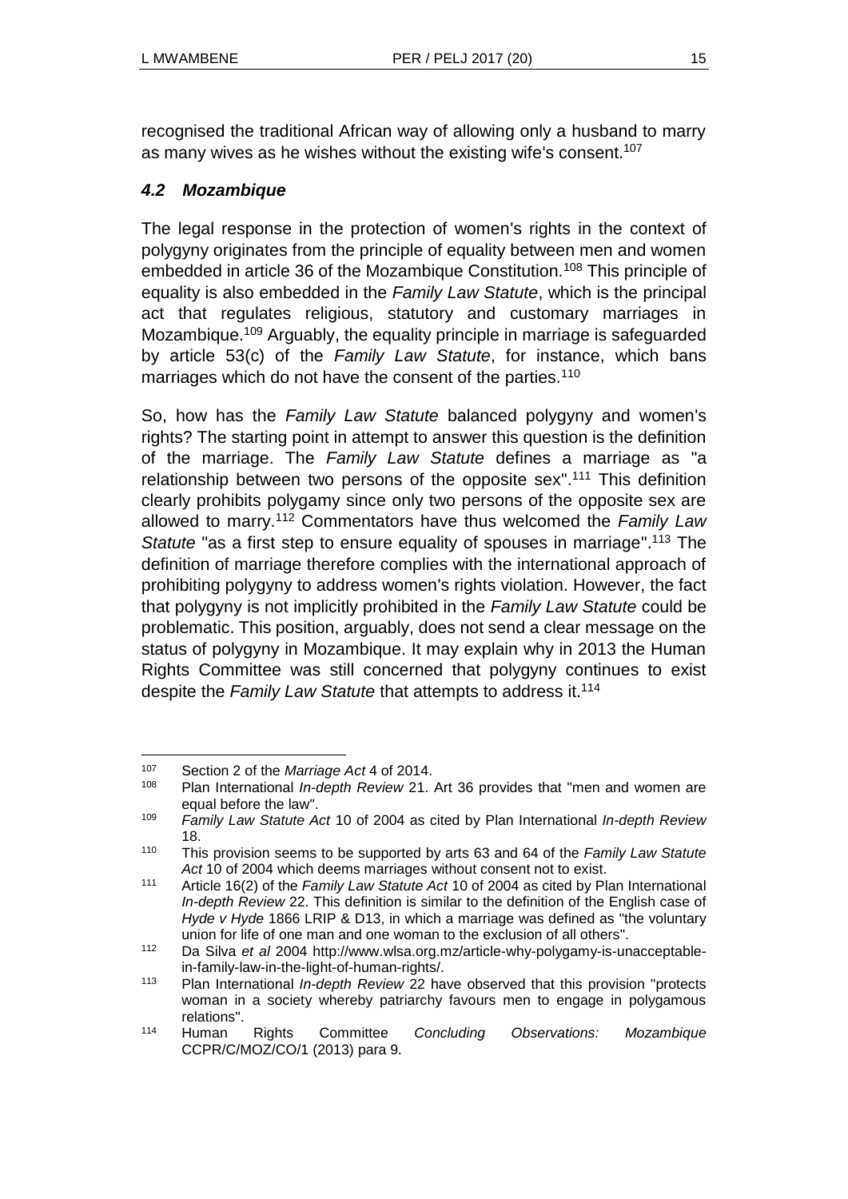recognised the traditional African way of allowing only a husband to marry as many wives as he wishes without the existing wife's consent.<sup>107</sup>

## *4.2 Mozambique*

The legal response in the protection of women's rights in the context of polygyny originates from the principle of equality between men and women embedded in article 36 of the Mozambique Constitution.<sup>108</sup> This principle of equality is also embedded in the *Family Law Statute*, which is the principal act that regulates religious, statutory and customary marriages in Mozambique.<sup>109</sup> Arguably, the equality principle in marriage is safeguarded by article 53(c) of the *Family Law Statute*, for instance, which bans marriages which do not have the consent of the parties.<sup>110</sup>

So, how has the *Family Law Statute* balanced polygyny and women's rights? The starting point in attempt to answer this question is the definition of the marriage. The *Family Law Statute* defines a marriage as "a relationship between two persons of the opposite sex".<sup>111</sup> This definition clearly prohibits polygamy since only two persons of the opposite sex are allowed to marry.<sup>112</sup> Commentators have thus welcomed the *Family Law Statute* "as a first step to ensure equality of spouses in marriage".<sup>113</sup> The definition of marriage therefore complies with the international approach of prohibiting polygyny to address women's rights violation. However, the fact that polygyny is not implicitly prohibited in the *Family Law Statute* could be problematic. This position, arguably, does not send a clear message on the status of polygyny in Mozambique. It may explain why in 2013 the Human Rights Committee was still concerned that polygyny continues to exist despite the *Family Law Statute* that attempts to address it.<sup>114</sup>

l <sup>107</sup> Section 2 of the *Marriage Act* 4 of 2014.

<sup>108</sup> Plan International *In-depth Review* 21. Art 36 provides that "men and women are equal before the law".

<sup>109</sup> *Family Law Statute Act* 10 of 2004 as cited by Plan International *In-depth Review*  18.

<sup>110</sup> This provision seems to be supported by arts 63 and 64 of the *Family Law Statute Act* 10 of 2004 which deems marriages without consent not to exist.

<sup>111</sup> Article 16(2) of the *Family Law Statute Act* 10 of 2004 as cited by Plan International *In-depth Review* 22. This definition is similar to the definition of the English case of *Hyde v Hyde* 1866 LRIP & D13, in which a marriage was defined as "the voluntary union for life of one man and one woman to the exclusion of all others".

<sup>112</sup> Da Silva *et al* 2004 http://www.wlsa.org.mz/article-why-polygamy-is-unacceptablein-family-law-in-the-light-of-human-rights/.

<sup>113</sup> Plan International *In-depth Review* 22 have observed that this provision "protects woman in a society whereby patriarchy favours men to engage in polygamous relations".

<sup>114</sup> Human Rights Committee *Concluding Observations: Mozambique*  CCPR/C/MOZ/CO/1 (2013) para 9*.*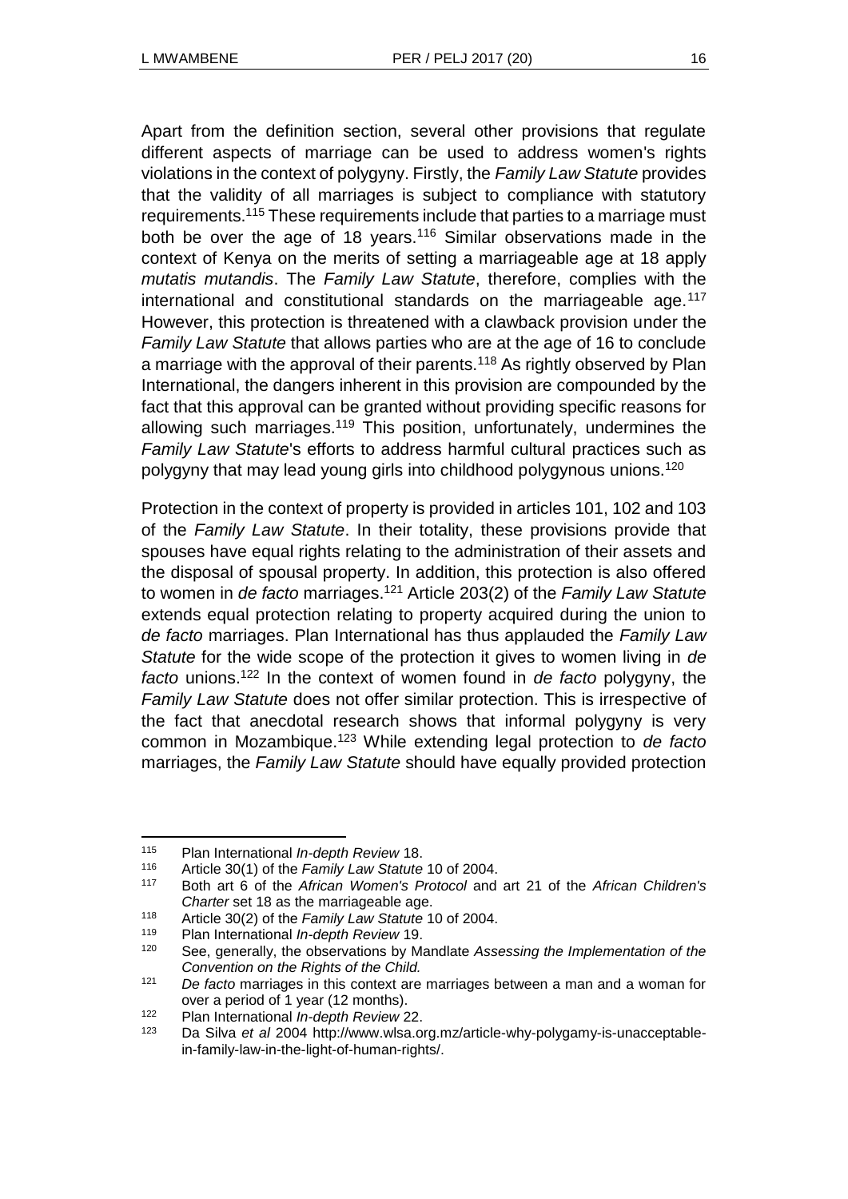Apart from the definition section, several other provisions that regulate different aspects of marriage can be used to address women's rights violations in the context of polygyny. Firstly, the *Family Law Statute* provides that the validity of all marriages is subject to compliance with statutory requirements.<sup>115</sup> These requirements include that parties to a marriage must both be over the age of 18 years.<sup>116</sup> Similar observations made in the context of Kenya on the merits of setting a marriageable age at 18 apply *mutatis mutandis*. The *Family Law Statute*, therefore, complies with the international and constitutional standards on the marriageable age.  $117$ However, this protection is threatened with a clawback provision under the *Family Law Statute* that allows parties who are at the age of 16 to conclude a marriage with the approval of their parents.<sup>118</sup> As rightly observed by Plan International, the dangers inherent in this provision are compounded by the fact that this approval can be granted without providing specific reasons for allowing such marriages.<sup>119</sup> This position, unfortunately, undermines the *Family Law Statute*'s efforts to address harmful cultural practices such as polygyny that may lead young girls into childhood polygynous unions.<sup>120</sup>

Protection in the context of property is provided in articles 101, 102 and 103 of the *Family Law Statute*. In their totality, these provisions provide that spouses have equal rights relating to the administration of their assets and the disposal of spousal property. In addition, this protection is also offered to women in *de facto* marriages.<sup>121</sup> Article 203(2) of the *Family Law Statute* extends equal protection relating to property acquired during the union to *de facto* marriages. Plan International has thus applauded the *Family Law Statute* for the wide scope of the protection it gives to women living in *de facto* unions.<sup>122</sup> In the context of women found in *de facto* polygyny, the *Family Law Statute* does not offer similar protection. This is irrespective of the fact that anecdotal research shows that informal polygyny is very common in Mozambique.<sup>123</sup> While extending legal protection to *de facto* marriages, the *Family Law Statute* should have equally provided protection

l <sup>115</sup> Plan International *In-depth Review* 18.

<sup>116</sup> Article 30(1) of the *Family Law Statute* 10 of 2004.

<sup>117</sup> Both art 6 of the *African Women's Protocol* and art 21 of the *African Children's Charter* set 18 as the marriageable age.

<sup>118</sup> Article 30(2) of the *Family Law Statute* 10 of 2004.

<sup>119</sup> Plan International *In-depth Review* 19.

<sup>120</sup> See, generally, the observations by Mandlate *Assessing the Implementation of the Convention on the Rights of the Child.*

<sup>121</sup> *De facto* marriages in this context are marriages between a man and a woman for over a period of 1 year (12 months).

<sup>122</sup> Plan International *In-depth Review* 22.

<sup>123</sup> Da Silva *et al* 2004 http://www.wlsa.org.mz/article-why-polygamy-is-unacceptablein-family-law-in-the-light-of-human-rights/.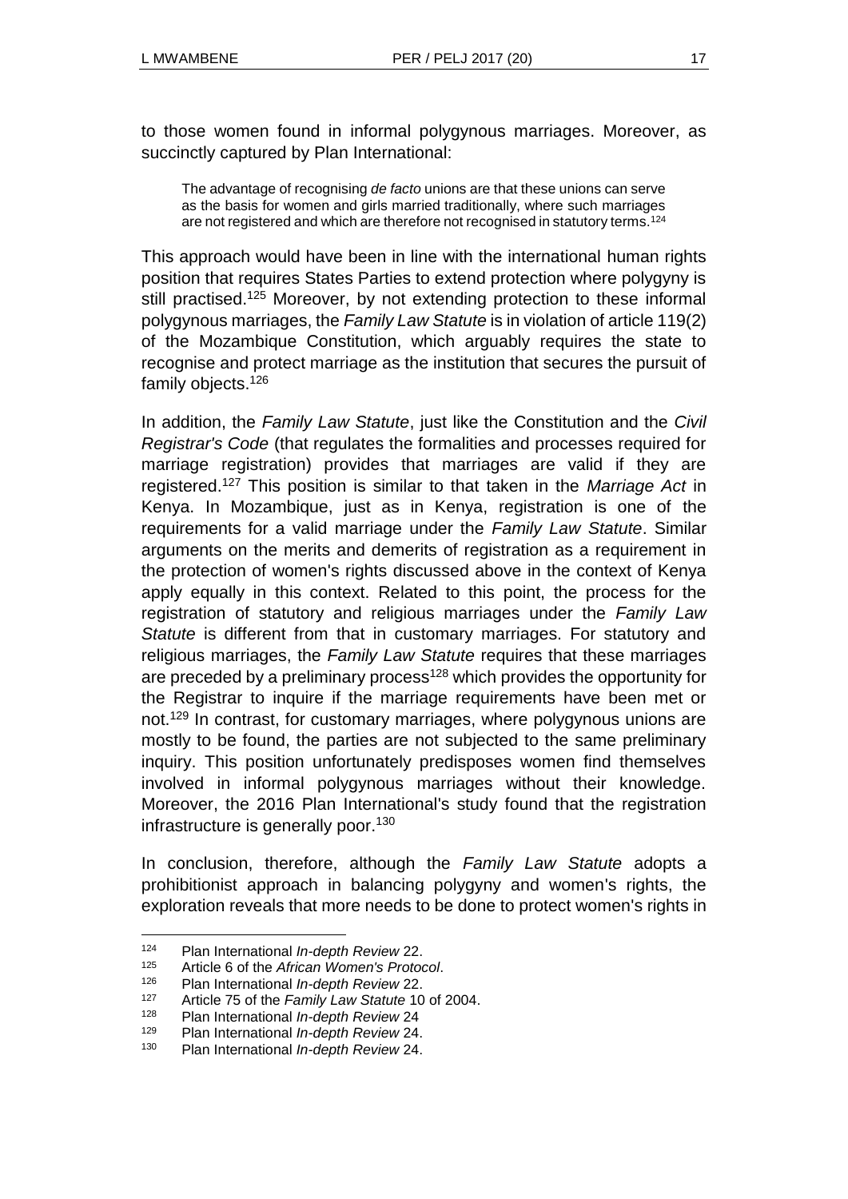to those women found in informal polygynous marriages. Moreover, as succinctly captured by Plan International:

The advantage of recognising *de facto* unions are that these unions can serve as the basis for women and girls married traditionally, where such marriages are not registered and which are therefore not recognised in statutory terms.<sup>124</sup>

This approach would have been in line with the international human rights position that requires States Parties to extend protection where polygyny is still practised.<sup>125</sup> Moreover, by not extending protection to these informal polygynous marriages, the *Family Law Statute* is in violation of article 119(2) of the Mozambique Constitution, which arguably requires the state to recognise and protect marriage as the institution that secures the pursuit of family objects.<sup>126</sup>

In addition, the *Family Law Statute*, just like the Constitution and the *Civil Registrar's Code* (that regulates the formalities and processes required for marriage registration) provides that marriages are valid if they are registered.<sup>127</sup> This position is similar to that taken in the *Marriage Act* in Kenya. In Mozambique, just as in Kenya, registration is one of the requirements for a valid marriage under the *Family Law Statute*. Similar arguments on the merits and demerits of registration as a requirement in the protection of women's rights discussed above in the context of Kenya apply equally in this context. Related to this point, the process for the registration of statutory and religious marriages under the *Family Law Statute* is different from that in customary marriages. For statutory and religious marriages, the *Family Law Statute* requires that these marriages are preceded by a preliminary process<sup>128</sup> which provides the opportunity for the Registrar to inquire if the marriage requirements have been met or not.<sup>129</sup> In contrast, for customary marriages, where polygynous unions are mostly to be found, the parties are not subjected to the same preliminary inquiry. This position unfortunately predisposes women find themselves involved in informal polygynous marriages without their knowledge. Moreover, the 2016 Plan International's study found that the registration infrastructure is generally poor.<sup>130</sup>

In conclusion, therefore, although the *Family Law Statute* adopts a prohibitionist approach in balancing polygyny and women's rights, the exploration reveals that more needs to be done to protect women's rights in

<sup>124</sup> Plan International *In-depth Review* 22.

<sup>125</sup> Article 6 of the *African Women's Protocol*.

<sup>126</sup> Plan International *In-depth Review* 22.

<sup>127</sup> Article 75 of the *Family Law Statute* 10 of 2004.

<sup>128</sup> Plan International *In-depth Review* 24

<sup>129</sup> Plan International *In-depth Review* 24.

<sup>130</sup> Plan International *In-depth Review* 24.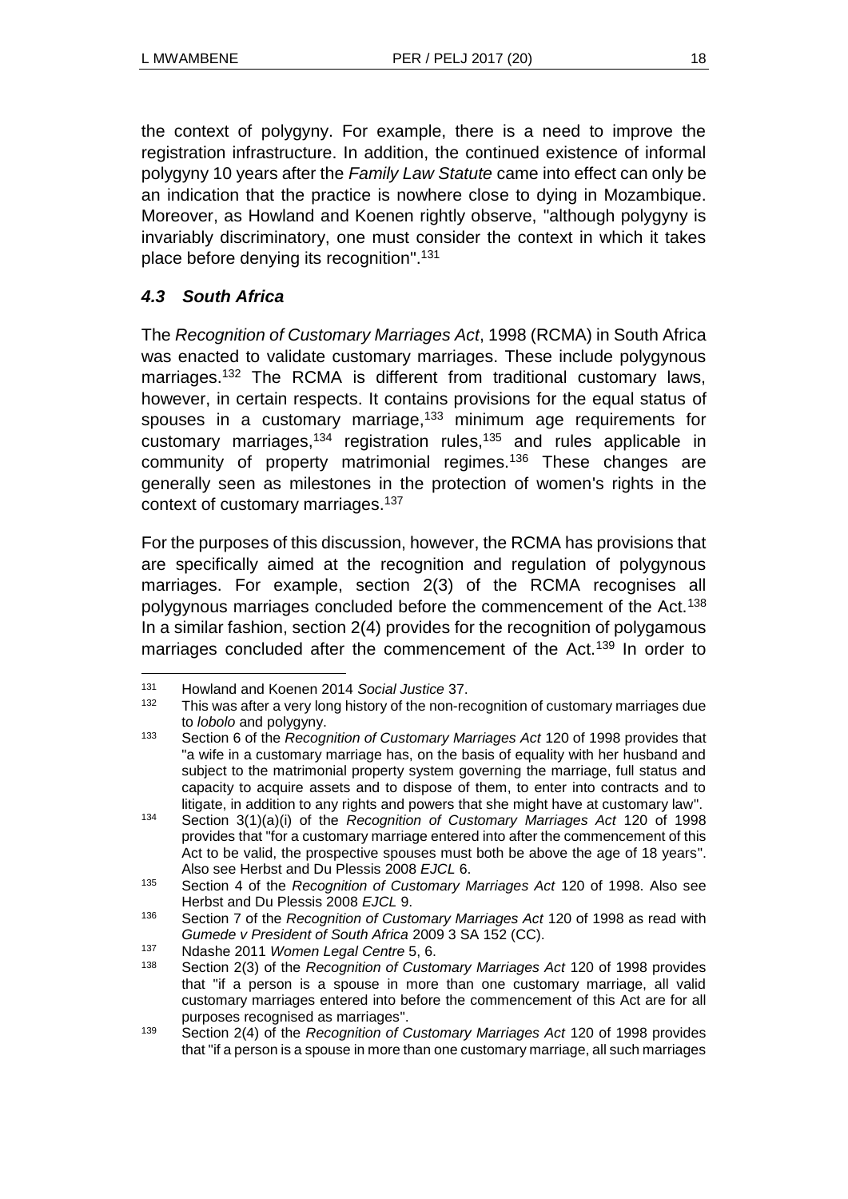the context of polygyny. For example, there is a need to improve the registration infrastructure. In addition, the continued existence of informal polygyny 10 years after the *Family Law Statute* came into effect can only be an indication that the practice is nowhere close to dying in Mozambique. Moreover, as Howland and Koenen rightly observe, "although polygyny is invariably discriminatory, one must consider the context in which it takes place before denying its recognition".<sup>131</sup>

### *4.3 South Africa*

l

The *Recognition of Customary Marriages Act*, 1998 (RCMA) in South Africa was enacted to validate customary marriages. These include polygynous marriages.<sup>132</sup> The RCMA is different from traditional customary laws, however, in certain respects. It contains provisions for the equal status of spouses in a customary marriage, $133$  minimum age requirements for customary marriages,<sup>134</sup> registration rules,<sup>135</sup> and rules applicable in community of property matrimonial regimes.<sup>136</sup> These changes are generally seen as milestones in the protection of women's rights in the context of customary marriages.<sup>137</sup>

For the purposes of this discussion, however, the RCMA has provisions that are specifically aimed at the recognition and regulation of polygynous marriages. For example, section 2(3) of the RCMA recognises all polygynous marriages concluded before the commencement of the Act.<sup>138</sup> In a similar fashion, section 2(4) provides for the recognition of polygamous marriages concluded after the commencement of the Act.<sup>139</sup> In order to

<sup>131</sup> Howland and Koenen 2014 *Social Justice* 37.

<sup>&</sup>lt;sup>132</sup> This was after a very long history of the non-recognition of customary marriages due to *lobolo* and polygyny.

<sup>133</sup> Section 6 of the *Recognition of Customary Marriages Act* 120 of 1998 provides that "a wife in a customary marriage has, on the basis of equality with her husband and subject to the matrimonial property system governing the marriage, full status and capacity to acquire assets and to dispose of them, to enter into contracts and to litigate, in addition to any rights and powers that she might have at customary law".

<sup>134</sup> Section 3(1)(a)(i) of the *Recognition of Customary Marriages Act* 120 of 1998 provides that "for a customary marriage entered into after the commencement of this Act to be valid, the prospective spouses must both be above the age of 18 years". Also see Herbst and Du Plessis 2008 *EJCL* 6.

<sup>135</sup> Section 4 of the *Recognition of Customary Marriages Act* 120 of 1998. Also see Herbst and Du Plessis 2008 *EJCL* 9.

<sup>136</sup> Section 7 of the *Recognition of Customary Marriages Act* 120 of 1998 as read with *Gumede v President of South Africa* 2009 3 SA 152 (CC).

<sup>137</sup> Ndashe 2011 *Women Legal Centre* 5, 6.

<sup>138</sup> Section 2(3) of the *Recognition of Customary Marriages Act* 120 of 1998 provides that "if a person is a spouse in more than one customary marriage, all valid customary marriages entered into before the commencement of this Act are for all purposes recognised as marriages".

<sup>139</sup> Section 2(4) of the *Recognition of Customary Marriages Act* 120 of 1998 provides that "if a person is a spouse in more than one customary marriage, all such marriages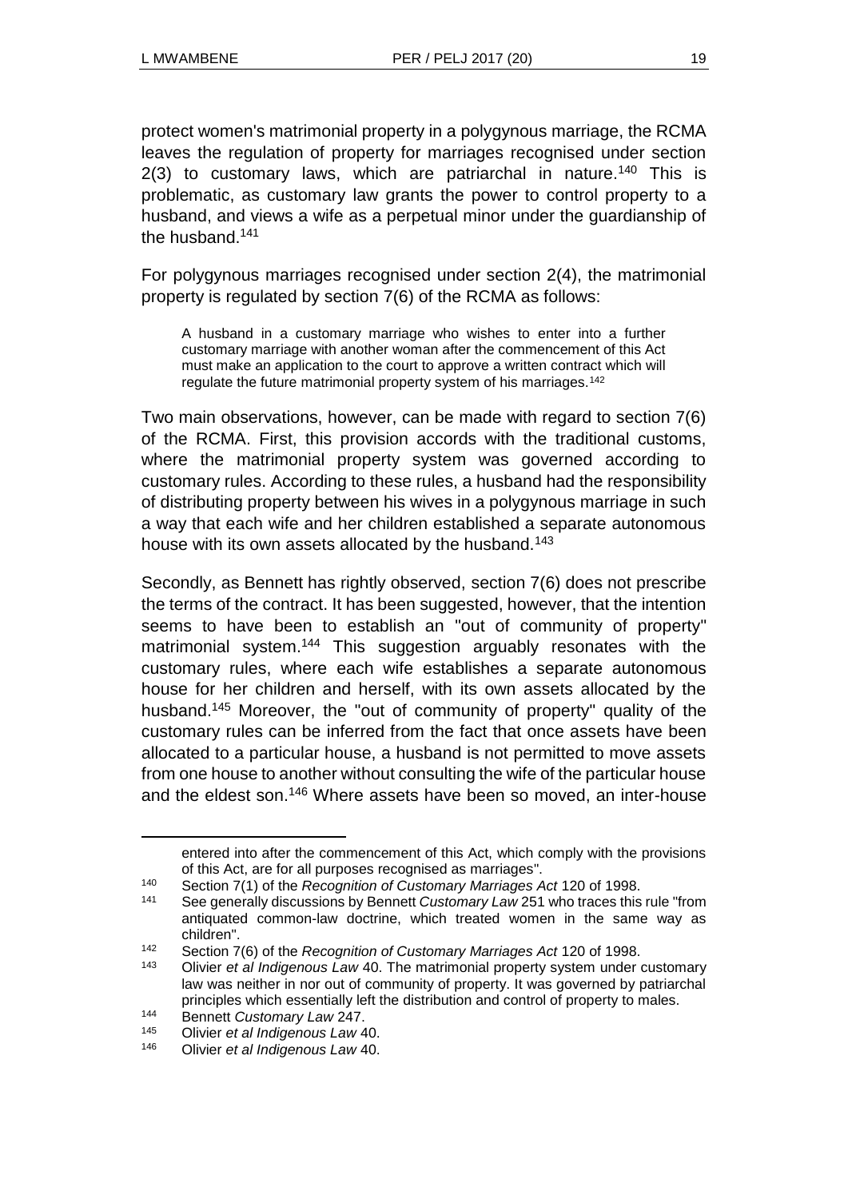protect women's matrimonial property in a polygynous marriage, the RCMA leaves the regulation of property for marriages recognised under section  $2(3)$  to customary laws, which are patriarchal in nature.<sup>140</sup> This is problematic, as customary law grants the power to control property to a husband, and views a wife as a perpetual minor under the guardianship of the husband.<sup>141</sup>

For polygynous marriages recognised under section 2(4), the matrimonial property is regulated by section 7(6) of the RCMA as follows:

A husband in a customary marriage who wishes to enter into a further customary marriage with another woman after the commencement of this Act must make an application to the court to approve a written contract which will regulate the future matrimonial property system of his marriages.<sup>142</sup>

Two main observations, however, can be made with regard to section 7(6) of the RCMA. First, this provision accords with the traditional customs, where the matrimonial property system was governed according to customary rules. According to these rules, a husband had the responsibility of distributing property between his wives in a polygynous marriage in such a way that each wife and her children established a separate autonomous house with its own assets allocated by the husband.<sup>143</sup>

Secondly, as Bennett has rightly observed, section 7(6) does not prescribe the terms of the contract. It has been suggested, however, that the intention seems to have been to establish an "out of community of property" matrimonial system.<sup>144</sup> This suggestion arguably resonates with the customary rules, where each wife establishes a separate autonomous house for her children and herself, with its own assets allocated by the husband.<sup>145</sup> Moreover, the "out of community of property" quality of the customary rules can be inferred from the fact that once assets have been allocated to a particular house, a husband is not permitted to move assets from one house to another without consulting the wife of the particular house and the eldest son.<sup>146</sup> Where assets have been so moved, an inter-house

entered into after the commencement of this Act, which comply with the provisions of this Act, are for all purposes recognised as marriages".

<sup>140</sup> Section 7(1) of the *Recognition of Customary Marriages Act* 120 of 1998.

<sup>141</sup> See generally discussions by Bennett *Customary Law* 251 who traces this rule "from antiquated common-law doctrine, which treated women in the same way as children".

<sup>142</sup> Section 7(6) of the *Recognition of Customary Marriages Act* 120 of 1998.

<sup>143</sup> Olivier *et al Indigenous Law* 40. The matrimonial property system under customary law was neither in nor out of community of property. It was governed by patriarchal principles which essentially left the distribution and control of property to males.

<sup>144</sup> Bennett *Customary Law* 247.<br>
145 Olivier et al Indigenous Law 4

<sup>145</sup> Olivier *et al Indigenous Law* 40.

<sup>146</sup> Olivier *et al Indigenous Law* 40.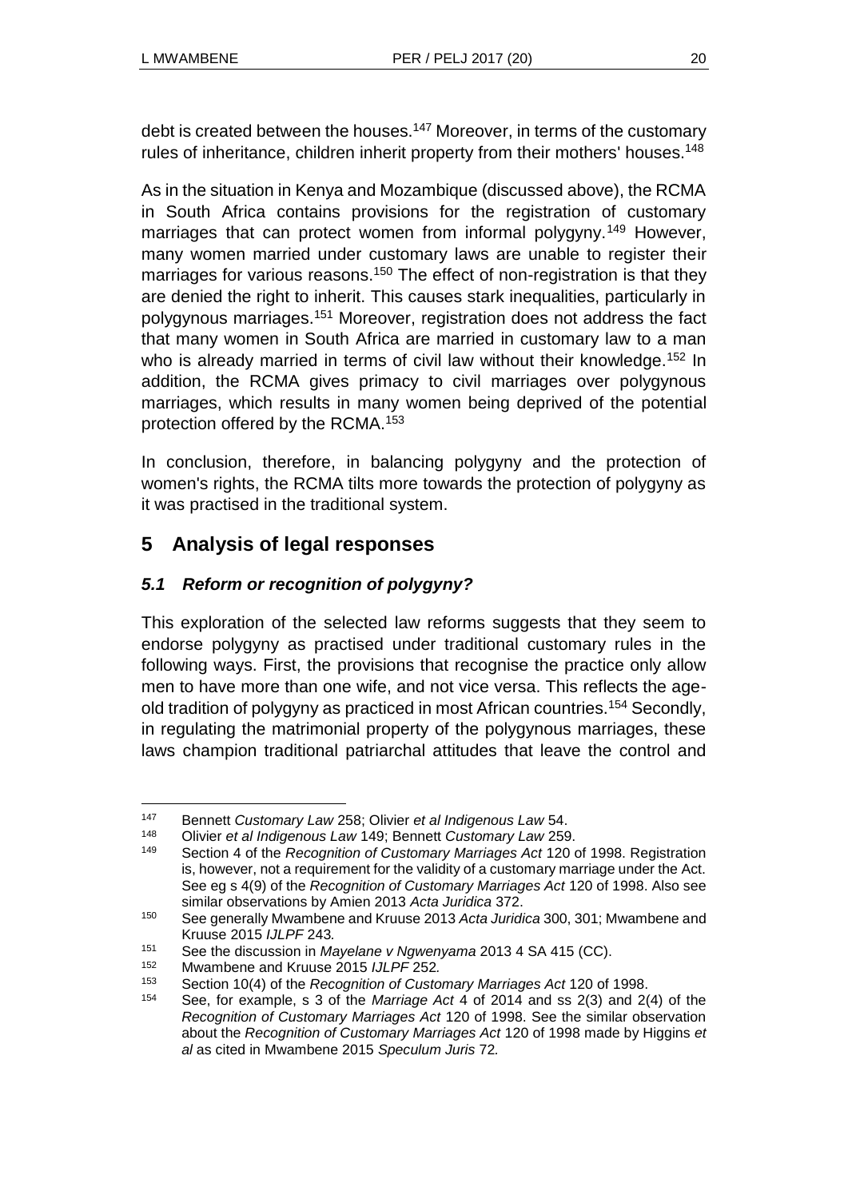debt is created between the houses.<sup>147</sup> Moreover, in terms of the customary rules of inheritance, children inherit property from their mothers' houses.<sup>148</sup>

As in the situation in Kenya and Mozambique (discussed above), the RCMA in South Africa contains provisions for the registration of customary marriages that can protect women from informal polygyny.<sup>149</sup> However, many women married under customary laws are unable to register their marriages for various reasons.<sup>150</sup> The effect of non-registration is that they are denied the right to inherit. This causes stark inequalities, particularly in polygynous marriages.<sup>151</sup> Moreover, registration does not address the fact that many women in South Africa are married in customary law to a man who is already married in terms of civil law without their knowledge.<sup>152</sup> In addition, the RCMA gives primacy to civil marriages over polygynous marriages, which results in many women being deprived of the potential protection offered by the RCMA.<sup>153</sup>

In conclusion, therefore, in balancing polygyny and the protection of women's rights, the RCMA tilts more towards the protection of polygyny as it was practised in the traditional system.

# **5 Analysis of legal responses**

# *5.1 Reform or recognition of polygyny?*

This exploration of the selected law reforms suggests that they seem to endorse polygyny as practised under traditional customary rules in the following ways. First, the provisions that recognise the practice only allow men to have more than one wife, and not vice versa. This reflects the ageold tradition of polygyny as practiced in most African countries.<sup>154</sup> Secondly, in regulating the matrimonial property of the polygynous marriages, these laws champion traditional patriarchal attitudes that leave the control and

<sup>147</sup> Bennett *Customary Law* 258; Olivier *et al Indigenous Law* 54.

<sup>148</sup> Olivier *et al Indigenous Law* 149; Bennett *Customary Law* 259.

Section 4 of the *Recognition of Customary Marriages Act* 120 of 1998. Registration is, however, not a requirement for the validity of a customary marriage under the Act. See eg s 4(9) of the *Recognition of Customary Marriages Act* 120 of 1998. Also see similar observations by Amien 2013 *Acta Juridica* 372.

<sup>150</sup> See generally Mwambene and Kruuse 2013 *Acta Juridica* 300, 301; Mwambene and Kruuse 2015 *IJLPF* 243*.*

<sup>151</sup> See the discussion in *Mayelane v Ngwenyama* 2013 4 SA 415 (CC).

<sup>152</sup> Mwambene and Kruuse 2015 *IJLPF* 252*.*

<sup>153</sup> Section 10(4) of the *Recognition of Customary Marriages Act* 120 of 1998.

<sup>154</sup> See, for example, s 3 of the *Marriage Act* 4 of 2014 and ss 2(3) and 2(4) of the *Recognition of Customary Marriages Act* 120 of 1998. See the similar observation about the *Recognition of Customary Marriages Act* 120 of 1998 made by Higgins *et al* as cited in Mwambene 2015 *Speculum Juris* 72*.*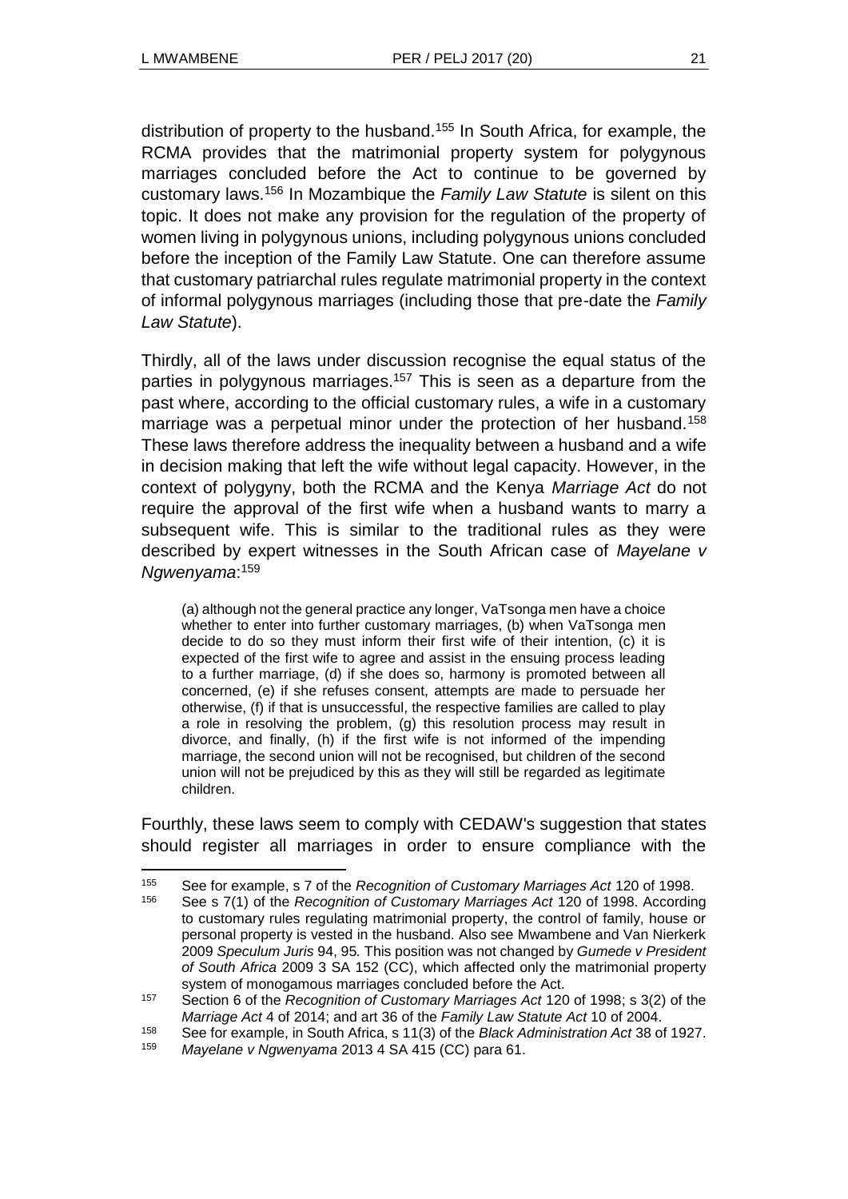l

distribution of property to the husband.<sup>155</sup> In South Africa, for example, the RCMA provides that the matrimonial property system for polygynous marriages concluded before the Act to continue to be governed by customary laws.<sup>156</sup> In Mozambique the *Family Law Statute* is silent on this topic. It does not make any provision for the regulation of the property of women living in polygynous unions, including polygynous unions concluded before the inception of the Family Law Statute. One can therefore assume that customary patriarchal rules regulate matrimonial property in the context of informal polygynous marriages (including those that pre-date the *Family Law Statute*).

Thirdly, all of the laws under discussion recognise the equal status of the parties in polygynous marriages.<sup>157</sup> This is seen as a departure from the past where, according to the official customary rules, a wife in a customary marriage was a perpetual minor under the protection of her husband.<sup>158</sup> These laws therefore address the inequality between a husband and a wife in decision making that left the wife without legal capacity. However, in the context of polygyny, both the RCMA and the Kenya *Marriage Act* do not require the approval of the first wife when a husband wants to marry a subsequent wife. This is similar to the traditional rules as they were described by expert witnesses in the South African case of *Mayelane v Ngwenyama*: 159

(a) although not the general practice any longer, VaTsonga men have a choice whether to enter into further customary marriages, (b) when VaTsonga men decide to do so they must inform their first wife of their intention, (c) it is expected of the first wife to agree and assist in the ensuing process leading to a further marriage, (d) if she does so, harmony is promoted between all concerned, (e) if she refuses consent, attempts are made to persuade her otherwise, (f) if that is unsuccessful, the respective families are called to play a role in resolving the problem, (g) this resolution process may result in divorce, and finally, (h) if the first wife is not informed of the impending marriage, the second union will not be recognised, but children of the second union will not be prejudiced by this as they will still be regarded as legitimate children.

Fourthly, these laws seem to comply with CEDAW's suggestion that states should register all marriages in order to ensure compliance with the

<sup>155</sup> See for example, s 7 of the *Recognition of Customary Marriages Act* 120 of 1998.

<sup>156</sup> See s 7(1) of the *Recognition of Customary Marriages Act* 120 of 1998. According to customary rules regulating matrimonial property, the control of family, house or personal property is vested in the husband. Also see Mwambene and Van Nierkerk 2009 *Speculum Juris* 94, 95*.* This position was not changed by *Gumede v President of South Africa* 2009 3 SA 152 (CC), which affected only the matrimonial property system of monogamous marriages concluded before the Act.

<sup>157</sup> Section 6 of the *Recognition of Customary Marriages Act* 120 of 1998; s 3(2) of the *Marriage Act* 4 of 2014; and art 36 of the *Family Law Statute Act* 10 of 2004.

<sup>158</sup> See for example, in South Africa, s 11(3) of the *Black Administration Act* 38 of 1927.

<sup>159</sup> *Mayelane v Ngwenyama* 2013 4 SA 415 (CC) para 61.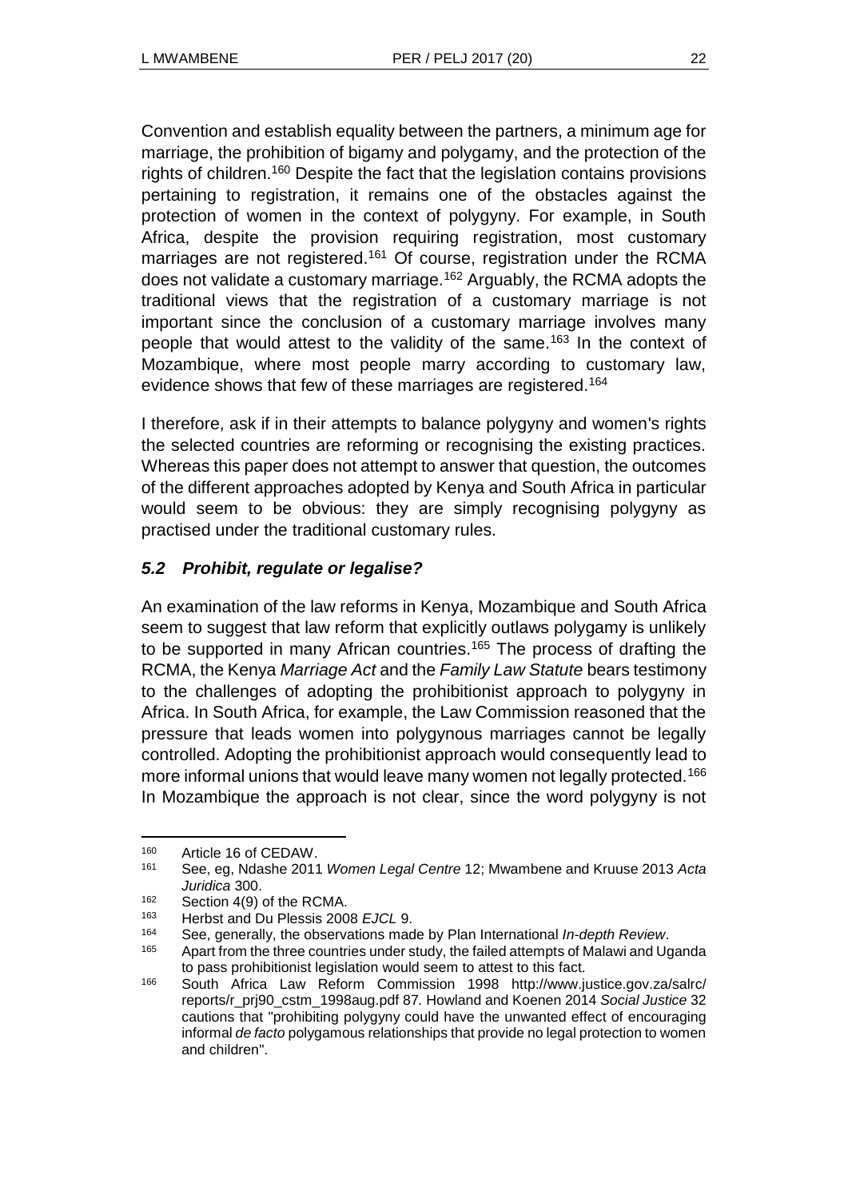Convention and establish equality between the partners, a minimum age for marriage, the prohibition of bigamy and polygamy, and the protection of the rights of children.<sup>160</sup> Despite the fact that the legislation contains provisions pertaining to registration, it remains one of the obstacles against the protection of women in the context of polygyny. For example, in South Africa, despite the provision requiring registration, most customary marriages are not registered.<sup>161</sup> Of course, registration under the RCMA does not validate a customary marriage.<sup>162</sup> Arguably, the RCMA adopts the traditional views that the registration of a customary marriage is not important since the conclusion of a customary marriage involves many people that would attest to the validity of the same.<sup>163</sup> In the context of Mozambique, where most people marry according to customary law, evidence shows that few of these marriages are registered.<sup>164</sup>

I therefore, ask if in their attempts to balance polygyny and women's rights the selected countries are reforming or recognising the existing practices. Whereas this paper does not attempt to answer that question, the outcomes of the different approaches adopted by Kenya and South Africa in particular would seem to be obvious: they are simply recognising polygyny as practised under the traditional customary rules.

## *5.2 Prohibit, regulate or legalise?*

An examination of the law reforms in Kenya, Mozambique and South Africa seem to suggest that law reform that explicitly outlaws polygamy is unlikely to be supported in many African countries.<sup>165</sup> The process of drafting the RCMA, the Kenya *Marriage Act* and the *Family Law Statute* bears testimony to the challenges of adopting the prohibitionist approach to polygyny in Africa. In South Africa, for example, the Law Commission reasoned that the pressure that leads women into polygynous marriages cannot be legally controlled. Adopting the prohibitionist approach would consequently lead to more informal unions that would leave many women not legally protected.<sup>166</sup> In Mozambique the approach is not clear, since the word polygyny is not

<sup>&</sup>lt;sup>160</sup> Article 16 of CEDAW.<br><sup>161</sup> See eg Ndashe 2011

<sup>161</sup> See, eg, Ndashe 2011 *Women Legal Centre* 12; Mwambene and Kruuse 2013 *Acta Juridica* 300.

 $^{162}$  Section 4(9) of the RCMA.<br> $^{163}$  Herbet and Du Pleasis 200

<sup>163</sup> Herbst and Du Plessis 2008 *EJCL* 9.

<sup>164</sup> See, generally, the observations made by Plan International *In-depth Review*.

<sup>&</sup>lt;sup>165</sup> Apart from the three countries under study, the failed attempts of Malawi and Uganda to pass prohibitionist legislation would seem to attest to this fact.

<sup>166</sup> South Africa Law Reform Commission 1998 http://www.justice.gov.za/salrc/ reports/r\_prj90\_cstm\_1998aug.pdf 87*.* Howland and Koenen 2014 *Social Justice* 32 cautions that "prohibiting polygyny could have the unwanted effect of encouraging informal *de facto* polygamous relationships that provide no legal protection to women and children".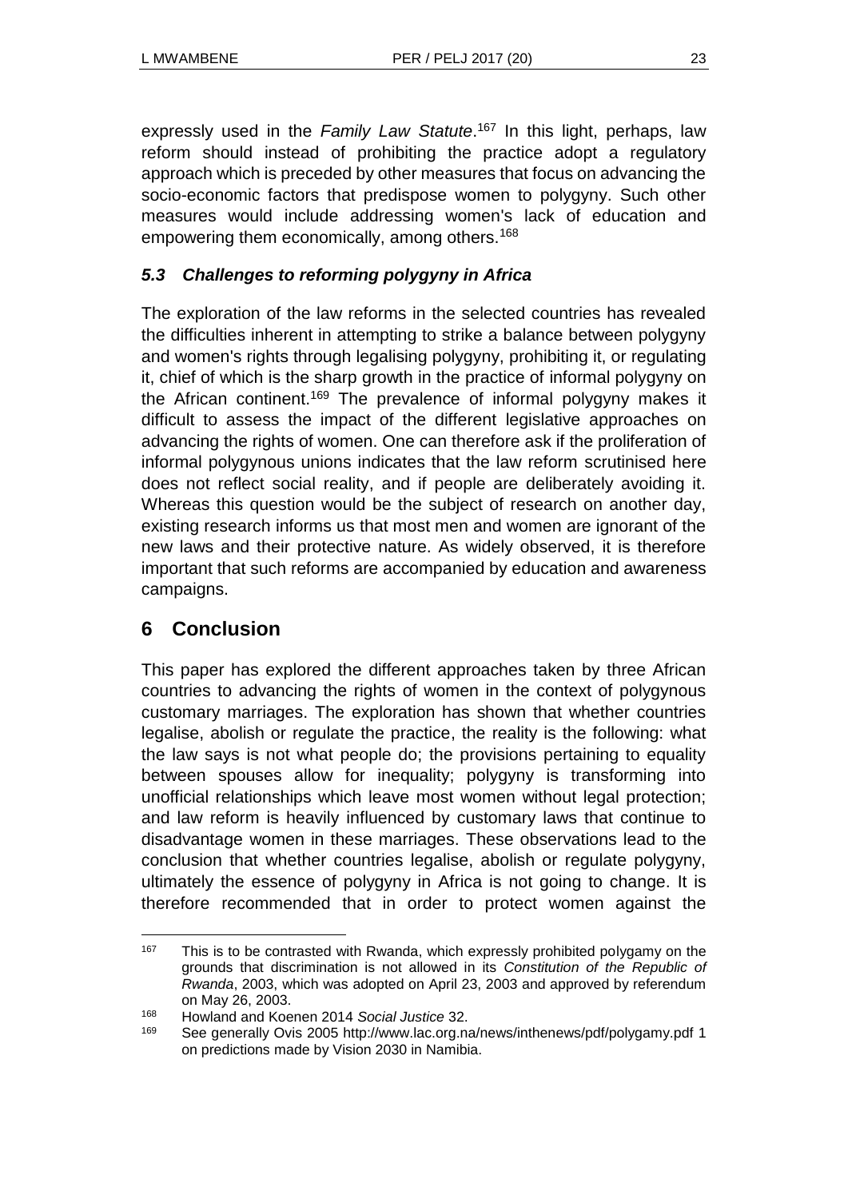expressly used in the *Family Law Statute*. <sup>167</sup> In this light, perhaps, law reform should instead of prohibiting the practice adopt a regulatory approach which is preceded by other measures that focus on advancing the socio-economic factors that predispose women to polygyny. Such other measures would include addressing women's lack of education and empowering them economically, among others.<sup>168</sup>

# *5.3 Challenges to reforming polygyny in Africa*

The exploration of the law reforms in the selected countries has revealed the difficulties inherent in attempting to strike a balance between polygyny and women's rights through legalising polygyny, prohibiting it, or regulating it, chief of which is the sharp growth in the practice of informal polygyny on the African continent.<sup>169</sup> The prevalence of informal polygyny makes it difficult to assess the impact of the different legislative approaches on advancing the rights of women. One can therefore ask if the proliferation of informal polygynous unions indicates that the law reform scrutinised here does not reflect social reality, and if people are deliberately avoiding it. Whereas this question would be the subject of research on another day, existing research informs us that most men and women are ignorant of the new laws and their protective nature. As widely observed, it is therefore important that such reforms are accompanied by education and awareness campaigns.

# **6 Conclusion**

This paper has explored the different approaches taken by three African countries to advancing the rights of women in the context of polygynous customary marriages. The exploration has shown that whether countries legalise, abolish or regulate the practice, the reality is the following: what the law says is not what people do; the provisions pertaining to equality between spouses allow for inequality; polygyny is transforming into unofficial relationships which leave most women without legal protection; and law reform is heavily influenced by customary laws that continue to disadvantage women in these marriages. These observations lead to the conclusion that whether countries legalise, abolish or regulate polygyny, ultimately the essence of polygyny in Africa is not going to change. It is therefore recommended that in order to protect women against the

l <sup>167</sup> This is to be contrasted with Rwanda, which expressly prohibited polygamy on the grounds that discrimination is not allowed in its *Constitution of the Republic of Rwanda*, 2003, which was adopted on April 23, 2003 and approved by referendum on May 26, 2003.

<sup>168</sup> Howland and Koenen 2014 *Social Justice* 32.

<sup>169</sup> See generally Ovis 2005 http://www.lac.org.na/news/inthenews/pdf/polygamy.pdf 1 on predictions made by Vision 2030 in Namibia.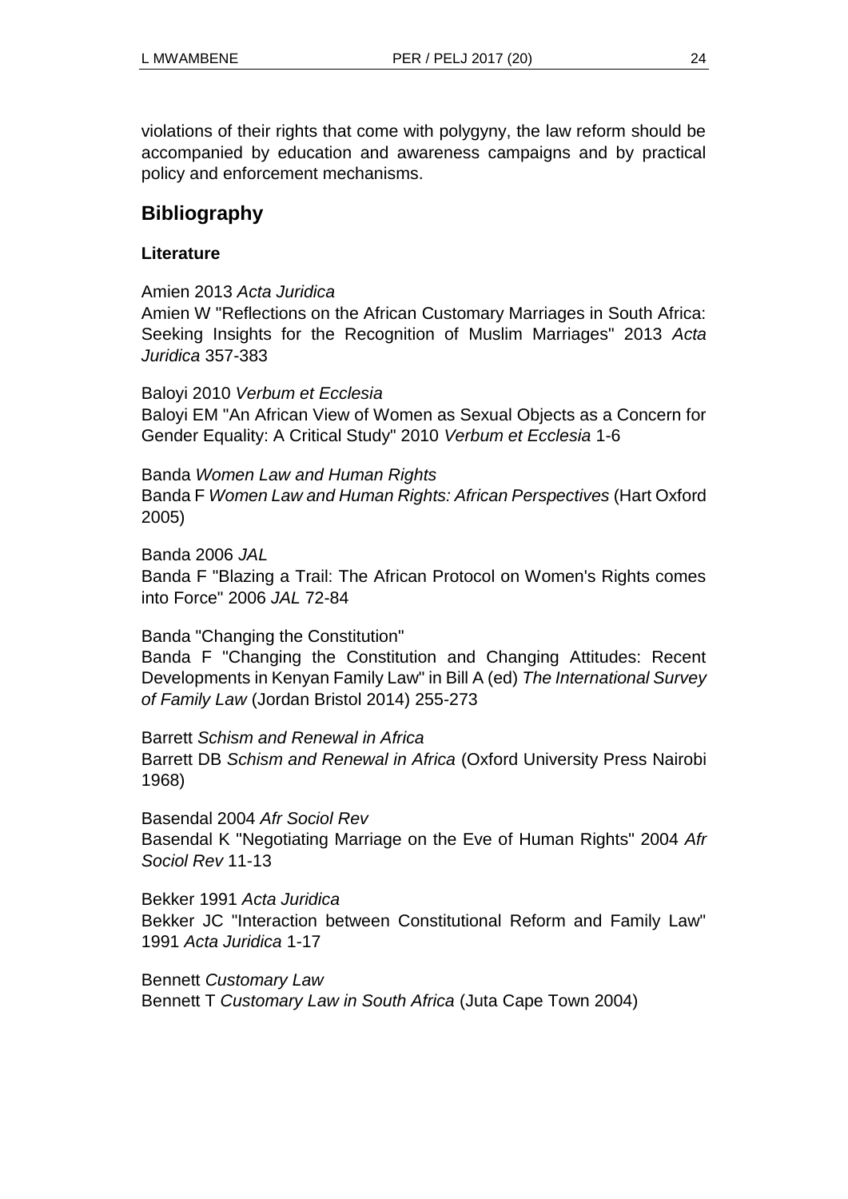violations of their rights that come with polygyny, the law reform should be accompanied by education and awareness campaigns and by practical policy and enforcement mechanisms.

# **Bibliography**

### **Literature**

Amien 2013 *Acta Juridica*

Amien W "Reflections on the African Customary Marriages in South Africa: Seeking Insights for the Recognition of Muslim Marriages" 2013 *Acta Juridica* 357-383

Baloyi 2010 *Verbum et Ecclesia* Baloyi EM "An African View of Women as Sexual Objects as a Concern for Gender Equality: A Critical Study" 2010 *Verbum et Ecclesia* 1-6

Banda *Women Law and Human Rights* Banda F *Women Law and Human Rights: African Perspectives* (Hart Oxford 2005)

Banda 2006 *JAL* Banda F "Blazing a Trail: The African Protocol on Women's Rights comes into Force" 2006 *JAL* 72-84

Banda "Changing the Constitution"

Banda F "Changing the Constitution and Changing Attitudes: Recent Developments in Kenyan Family Law" in Bill A (ed) *The International Survey of Family Law* (Jordan Bristol 2014) 255-273

Barrett *Schism and Renewal in Africa*  Barrett DB *Schism and Renewal in Africa* (Oxford University Press Nairobi 1968)

Basendal 2004 *Afr Sociol Rev* Basendal K "Negotiating Marriage on the Eve of Human Rights" 2004 *Afr Sociol Rev* 11-13

Bekker 1991 *Acta Juridica* Bekker JC "Interaction between Constitutional Reform and Family Law" 1991 *Acta Juridica* 1-17

Bennett *Customary Law* Bennett T *Customary Law in South Africa* (Juta Cape Town 2004)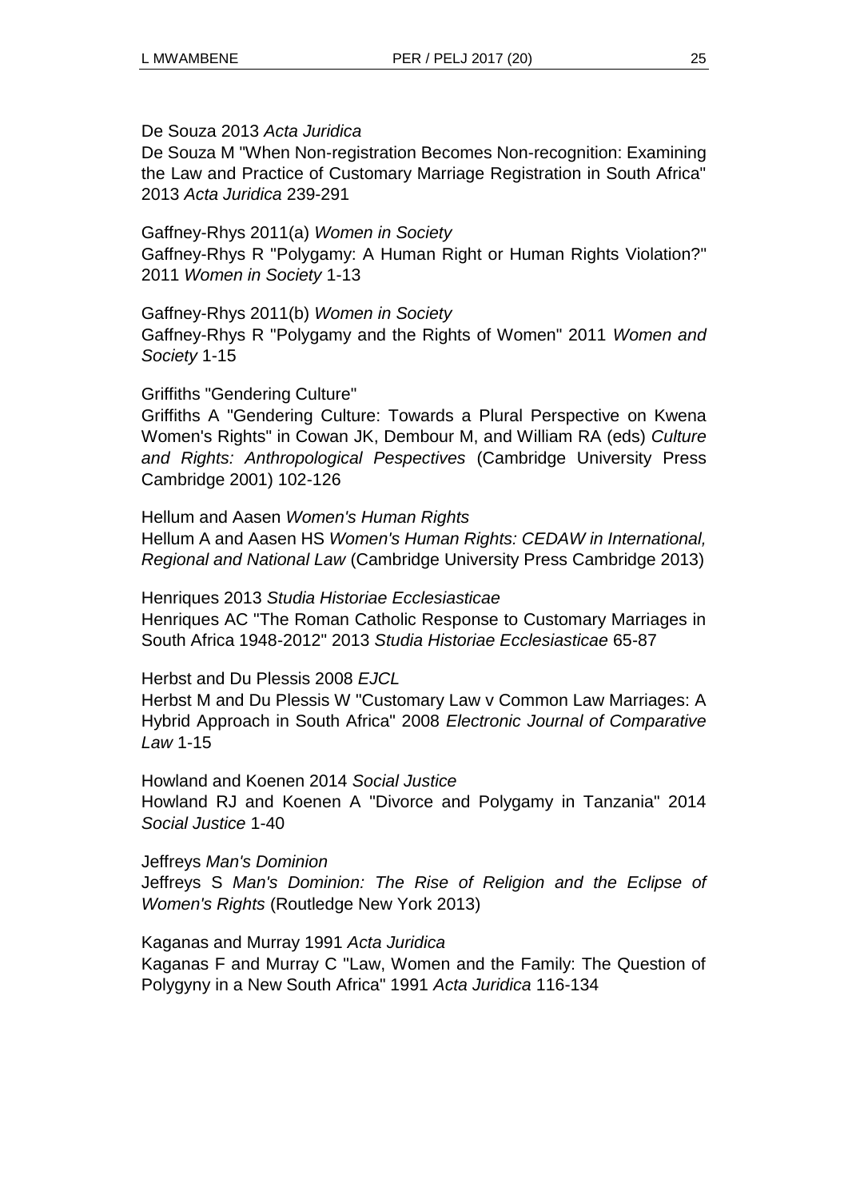#### De Souza 2013 *Acta Juridica*

De Souza M "When Non-registration Becomes Non-recognition: Examining the Law and Practice of Customary Marriage Registration in South Africa" 2013 *Acta Juridica* 239-291

Gaffney-Rhys 2011(a) *Women in Society* Gaffney-Rhys R "Polygamy: A Human Right or Human Rights Violation?" 2011 *Women in Society* 1-13

Gaffney-Rhys 2011(b) *Women in Society*

Gaffney-Rhys R "Polygamy and the Rights of Women" 2011 *Women and Society* 1-15

#### Griffiths "Gendering Culture"

Griffiths A "Gendering Culture: Towards a Plural Perspective on Kwena Women's Rights" in Cowan JK, Dembour M, and William RA (eds) *Culture and Rights: Anthropological Pespectives* (Cambridge University Press Cambridge 2001) 102-126

Hellum and Aasen *Women's Human Rights* Hellum A and Aasen HS *Women's Human Rights: CEDAW in International, Regional and National Law* (Cambridge University Press Cambridge 2013)

Henriques 2013 *Studia Historiae Ecclesiasticae* Henriques AC "The Roman Catholic Response to Customary Marriages in South Africa 1948-2012" 2013 *Studia Historiae Ecclesiasticae* 65-87

Herbst and Du Plessis 2008 *EJCL*

Herbst M and Du Plessis W "Customary Law v Common Law Marriages: A Hybrid Approach in South Africa" 2008 *Electronic Journal of Comparative Law* 1-15

Howland and Koenen 2014 *Social Justice* Howland RJ and Koenen A "Divorce and Polygamy in Tanzania" 2014 *Social Justice* 1-40

Jeffreys *Man's Dominion*

Jeffreys S *Man's Dominion: The Rise of Religion and the Eclipse of Women's Rights* (Routledge New York 2013)

Kaganas and Murray 1991 *Acta Juridica*

Kaganas F and Murray C "Law, Women and the Family: The Question of Polygyny in a New South Africa" 1991 *Acta Juridica* 116-134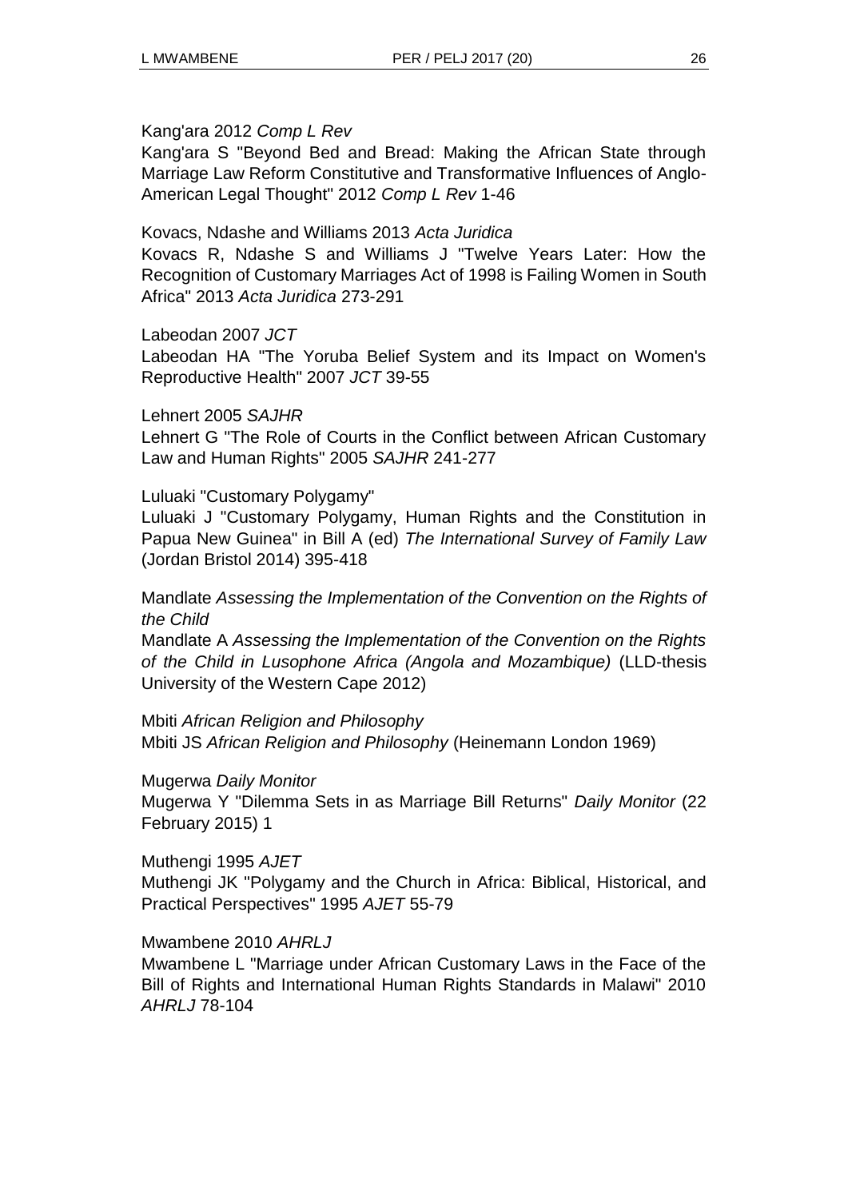#### Kang'ara 2012 *Comp L Rev*

Kang'ara S "Beyond Bed and Bread: Making the African State through Marriage Law Reform Constitutive and Transformative Influences of Anglo-American Legal Thought" 2012 *Comp L Rev* 1-46

Kovacs, Ndashe and Williams 2013 *Acta Juridica*

Kovacs R, Ndashe S and Williams J "Twelve Years Later: How the Recognition of Customary Marriages Act of 1998 is Failing Women in South Africa" 2013 *Acta Juridica* 273-291

#### Labeodan 2007 *JCT*

Labeodan HA "The Yoruba Belief System and its Impact on Women's Reproductive Health" 2007 *JCT* 39-55

#### Lehnert 2005 *SAJHR*

Lehnert G "The Role of Courts in the Conflict between African Customary Law and Human Rights" 2005 *SAJHR* 241-277

#### Luluaki "Customary Polygamy"

Luluaki J "Customary Polygamy, Human Rights and the Constitution in Papua New Guinea" in Bill A (ed) *The International Survey of Family Law* (Jordan Bristol 2014) 395-418

Mandlate *Assessing the Implementation of the Convention on the Rights of the Child*

Mandlate A *Assessing the Implementation of the Convention on the Rights of the Child in Lusophone Africa (Angola and Mozambique)* (LLD-thesis University of the Western Cape 2012)

Mbiti *African Religion and Philosophy*

Mbiti JS *African Religion and Philosophy* (Heinemann London 1969)

Mugerwa *Daily Monitor*

Mugerwa Y "Dilemma Sets in as Marriage Bill Returns" *Daily Monitor* (22 February 2015) 1

Muthengi 1995 *AJET*

Muthengi JK "Polygamy and the Church in Africa: Biblical, Historical, and Practical Perspectives" 1995 *AJET* 55-79

#### Mwambene 2010 *AHRLJ*

Mwambene L "Marriage under African Customary Laws in the Face of the Bill of Rights and International Human Rights Standards in Malawi" 2010 *AHRLJ* 78-104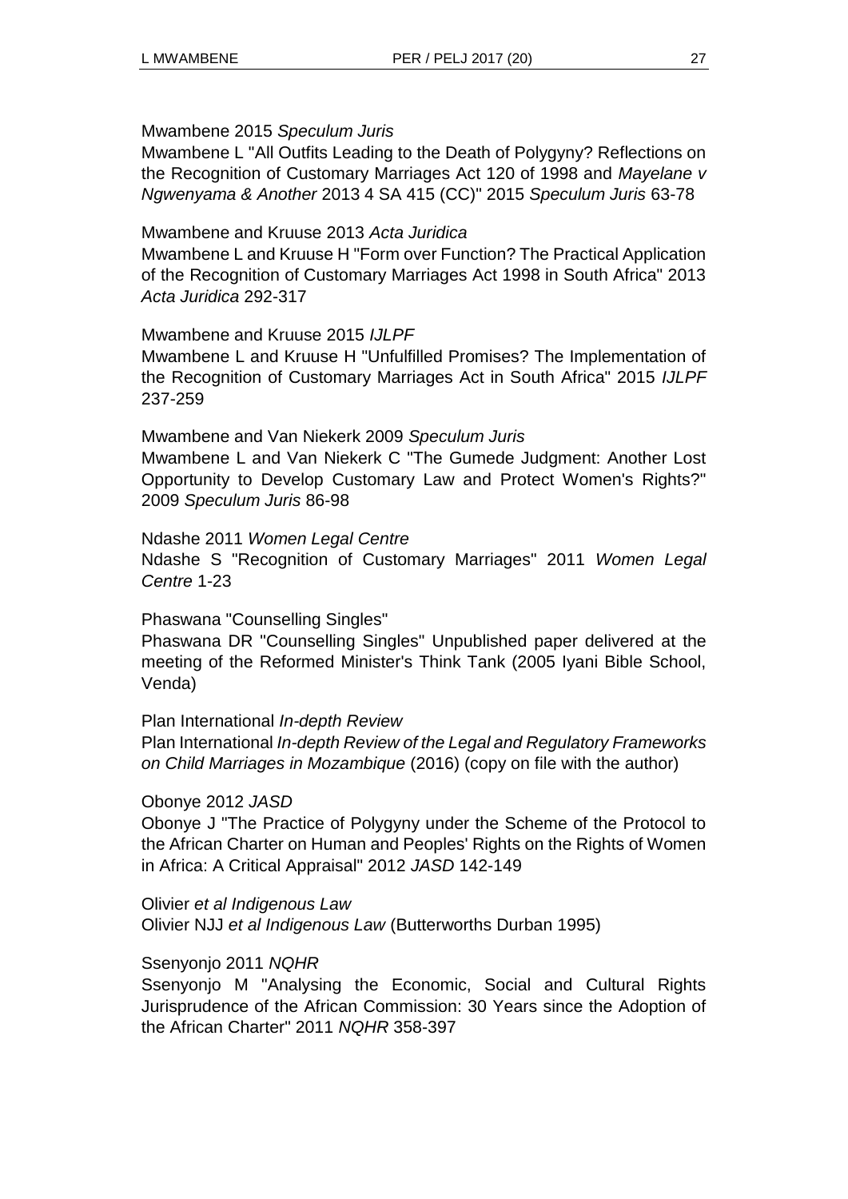#### Mwambene 2015 *Speculum Juris*

Mwambene L "All Outfits Leading to the Death of Polygyny? Reflections on the Recognition of Customary Marriages Act 120 of 1998 and *Mayelane v Ngwenyama & Another* 2013 4 SA 415 (CC)" 2015 *Speculum Juris* 63-78

#### Mwambene and Kruuse 2013 *Acta Juridica*

Mwambene L and Kruuse H "Form over Function? The Practical Application of the Recognition of Customary Marriages Act 1998 in South Africa" 2013 *Acta Juridica* 292-317

#### Mwambene and Kruuse 2015 *IJLPF*

Mwambene L and Kruuse H "Unfulfilled Promises? The Implementation of the Recognition of Customary Marriages Act in South Africa" 2015 *IJLPF* 237-259

#### Mwambene and Van Niekerk 2009 *Speculum Juris*

Mwambene L and Van Niekerk C "The Gumede Judgment: Another Lost Opportunity to Develop Customary Law and Protect Women's Rights?" 2009 *Speculum Juris* 86-98

#### Ndashe 2011 *Women Legal Centre*

Ndashe S "Recognition of Customary Marriages" 2011 *Women Legal Centre* 1-23

### Phaswana "Counselling Singles"

Phaswana DR "Counselling Singles" Unpublished paper delivered at the meeting of the Reformed Minister's Think Tank (2005 Iyani Bible School, Venda)

#### Plan International *In-depth Review*

Plan International *In-depth Review of the Legal and Regulatory Frameworks on Child Marriages in Mozambique* (2016) (copy on file with the author)

### Obonye 2012 *JASD*

Obonye J "The Practice of Polygyny under the Scheme of the Protocol to the African Charter on Human and Peoples' Rights on the Rights of Women in Africa: A Critical Appraisal" 2012 *JASD* 142-149

Olivier *et al Indigenous Law* Olivier NJJ *et al Indigenous Law* (Butterworths Durban 1995)

### Ssenyonjo 2011 *NQHR*

Ssenyonjo M "Analysing the Economic, Social and Cultural Rights Jurisprudence of the African Commission: 30 Years since the Adoption of the African Charter" 2011 *NQHR* 358-397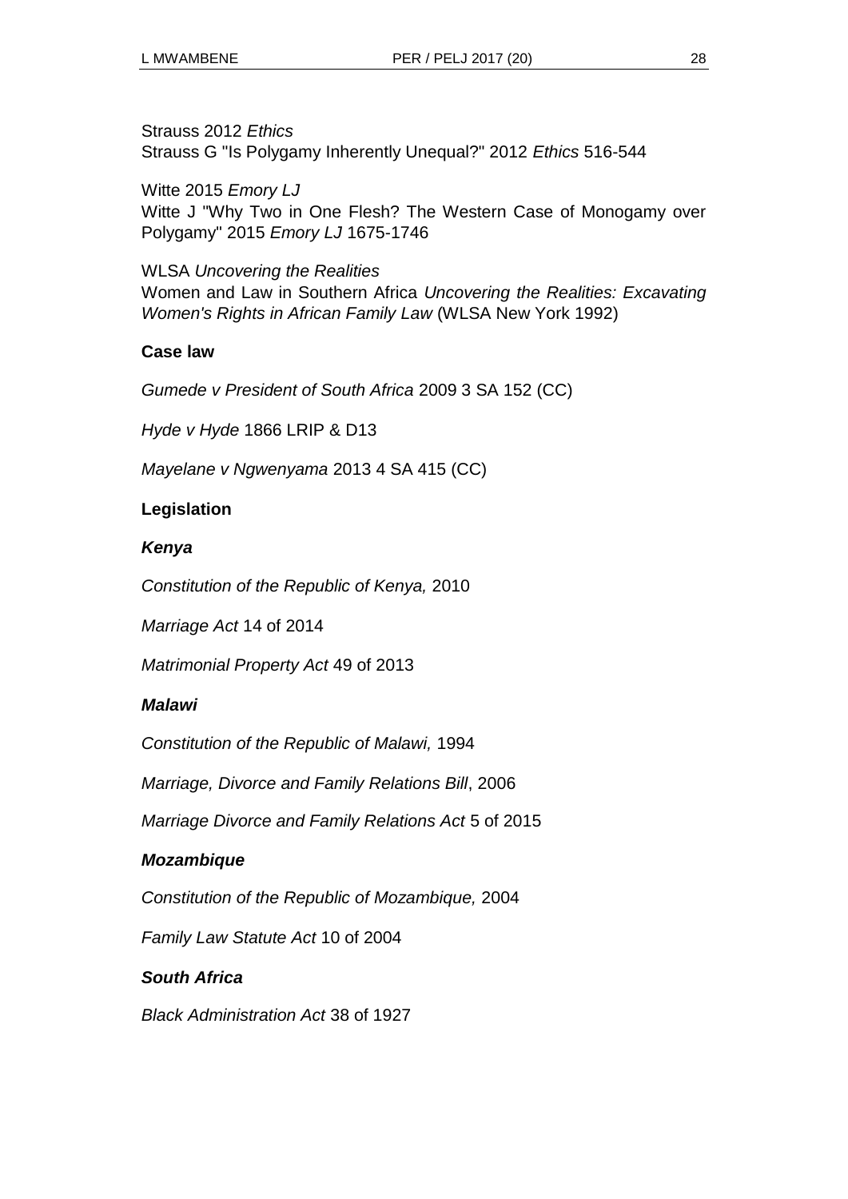Strauss 2012 *Ethics* Strauss G "Is Polygamy Inherently Unequal?" 2012 *Ethics* 516-544

Witte 2015 *Emory LJ* Witte J "Why Two in One Flesh? The Western Case of Monogamy over Polygamy" 2015 *Emory LJ* 1675-1746

WLSA *Uncovering the Realities* Women and Law in Southern Africa *Uncovering the Realities: Excavating Women's Rights in African Family Law* (WLSA New York 1992)

## **Case law**

*Gumede v President of South Africa* 2009 3 SA 152 (CC)

*Hyde v Hyde* 1866 LRIP & D13

*Mayelane v Ngwenyama* 2013 4 SA 415 (CC)

# **Legislation**

### *Kenya*

*Constitution of the Republic of Kenya,* 2010

*Marriage Act* 14 of 2014

*Matrimonial Property Act* 49 of 2013

## *Malawi*

*Constitution of the Republic of Malawi,* 1994

*Marriage, Divorce and Family Relations Bill*, 2006

*Marriage Divorce and Family Relations Act* 5 of 2015

## *Mozambique*

*Constitution of the Republic of Mozambique,* 2004

*Family Law Statute Act* 10 of 2004

## *South Africa*

*Black Administration Act* 38 of 1927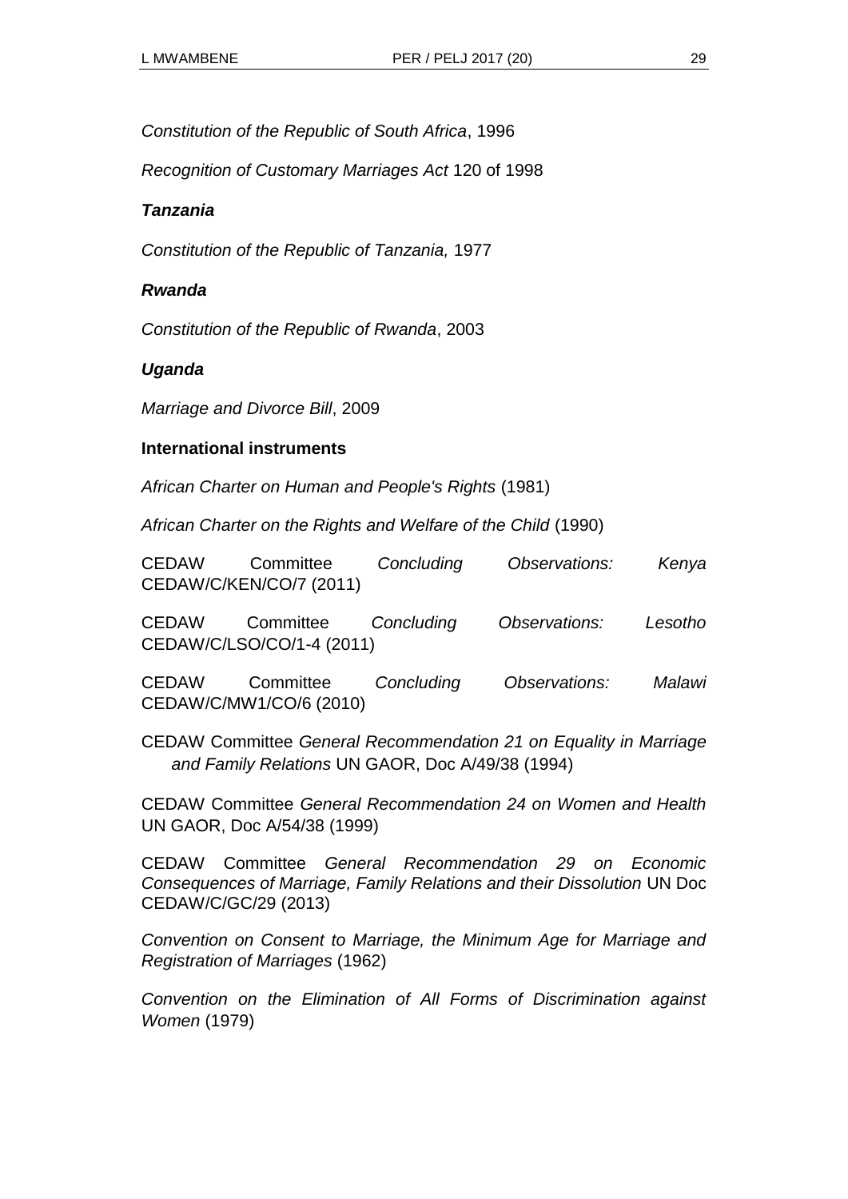*Constitution of the Republic of South Africa*, 1996

*Recognition of Customary Marriages Act* 120 of 1998

### *Tanzania*

*Constitution of the Republic of Tanzania,* 1977

#### *Rwanda*

*Constitution of the Republic of Rwanda*, 2003

### *Uganda*

*Marriage and Divorce Bill*, 2009

#### **International instruments**

*African Charter on Human and People's Rights* (1981)

*African Charter on the Rights and Welfare of the Child* (1990)

| <b>CEDAW</b> | Committee               | Concluding | Observations: | Kenya |
|--------------|-------------------------|------------|---------------|-------|
|              | CEDAW/C/KEN/CO/7 (2011) |            |               |       |

CEDAW Committee *Concluding Observations: Lesotho*  CEDAW/C/LSO/CO/1-4 (2011)

CEDAW Committee *Concluding Observations: Malawi* CEDAW/C/MW1/CO/6 (2010)

CEDAW Committee *General Recommendation 21 on Equality in Marriage and Family Relations* UN GAOR, Doc A/49/38 (1994)

CEDAW Committee *General Recommendation 24 on Women and Health*  UN GAOR, Doc A/54/38 (1999)

CEDAW Committee *General Recommendation 29 on Economic Consequences of Marriage, Family Relations and their Dissolution* UN Doc CEDAW/C/GC/29 (2013)

*Convention on Consent to Marriage, the Minimum Age for Marriage and Registration of Marriages* (1962)

*Convention on the Elimination of All Forms of Discrimination against Women* (1979)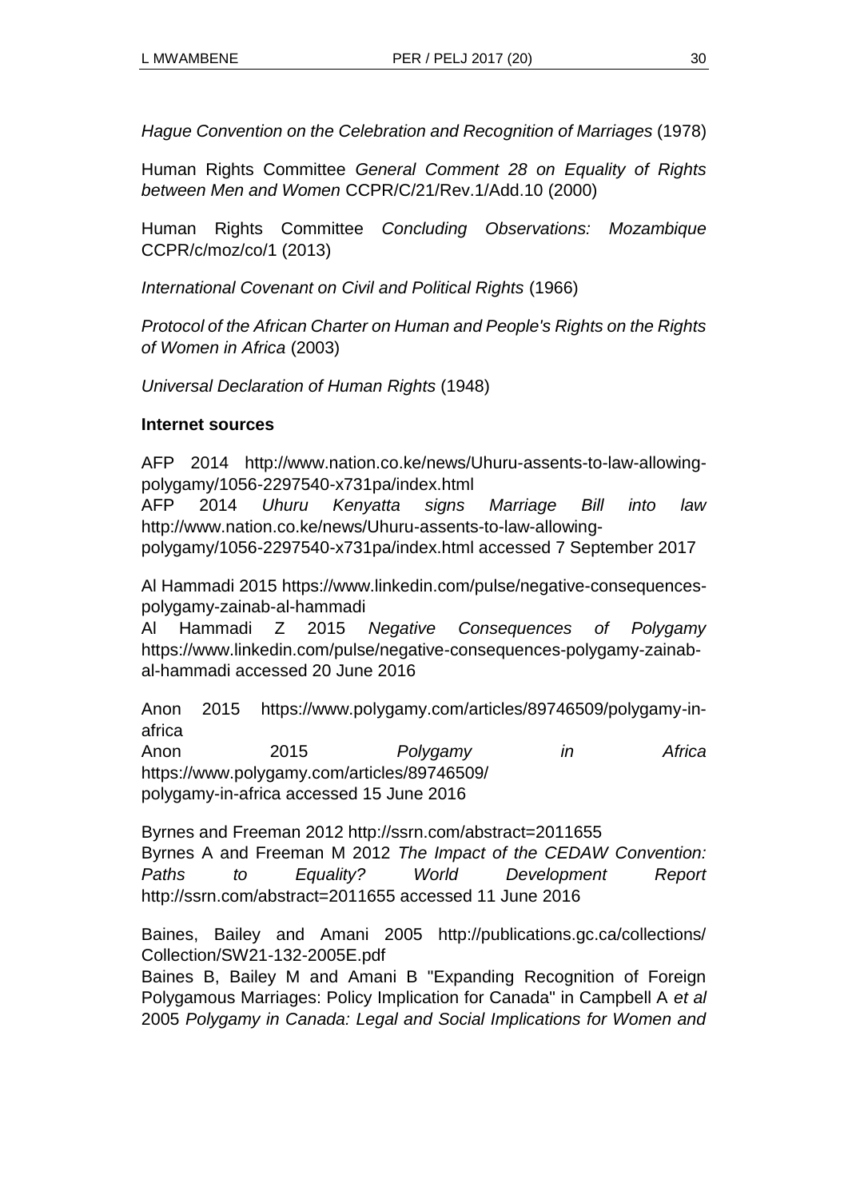*Hague Convention on the Celebration and Recognition of Marriages* (1978)

Human Rights Committee *General Comment 28 on Equality of Rights between Men and Women* CCPR/C/21/Rev.1/Add.10 (2000)

Human Rights Committee *Concluding Observations: Mozambique*  CCPR/c/moz/co/1 (2013)

*International Covenant on Civil and Political Rights* (1966)

*Protocol of the African Charter on Human and People's Rights on the Rights of Women in Africa* (2003)

*Universal Declaration of Human Rights* (1948)

#### **Internet sources**

AFP 2014 http://www.nation.co.ke/news/Uhuru-assents-to-law-allowingpolygamy/1056-2297540-x731pa/index.html

AFP 2014 *Uhuru Kenyatta signs Marriage Bill into law* http://www.nation.co.ke/news/Uhuru-assents-to-law-allowing-

polygamy/1056-2297540-x731pa/index.html accessed 7 September 2017

Al Hammadi 2015 https://www.linkedin.com/pulse/negative-consequencespolygamy-zainab-al-hammadi

Al Hammadi Z 2015 *Negative Consequences of Polygamy* https://www.linkedin.com/pulse/negative-consequences-polygamy-zainabal-hammadi accessed 20 June 2016

Anon 2015 https://www.polygamy.com/articles/89746509/polygamy-inafrica Anon 2015 *Polygamy in Africa* https://www.polygamy.com/articles/89746509/ polygamy-in-africa accessed 15 June 2016

Byrnes and Freeman 2012 http://ssrn.com/abstract=2011655 Byrnes A and Freeman M 2012 *The Impact of the CEDAW Convention: Paths to Equality? World Development Report* http://ssrn.com/abstract=2011655 accessed 11 June 2016

Baines, Bailey and Amani 2005 http://publications.gc.ca/collections/ Collection/SW21-132-2005E.pdf

Baines B, Bailey M and Amani B "Expanding Recognition of Foreign Polygamous Marriages: Policy Implication for Canada" in Campbell A *et al*  2005 *Polygamy in Canada: Legal and Social Implications for Women and*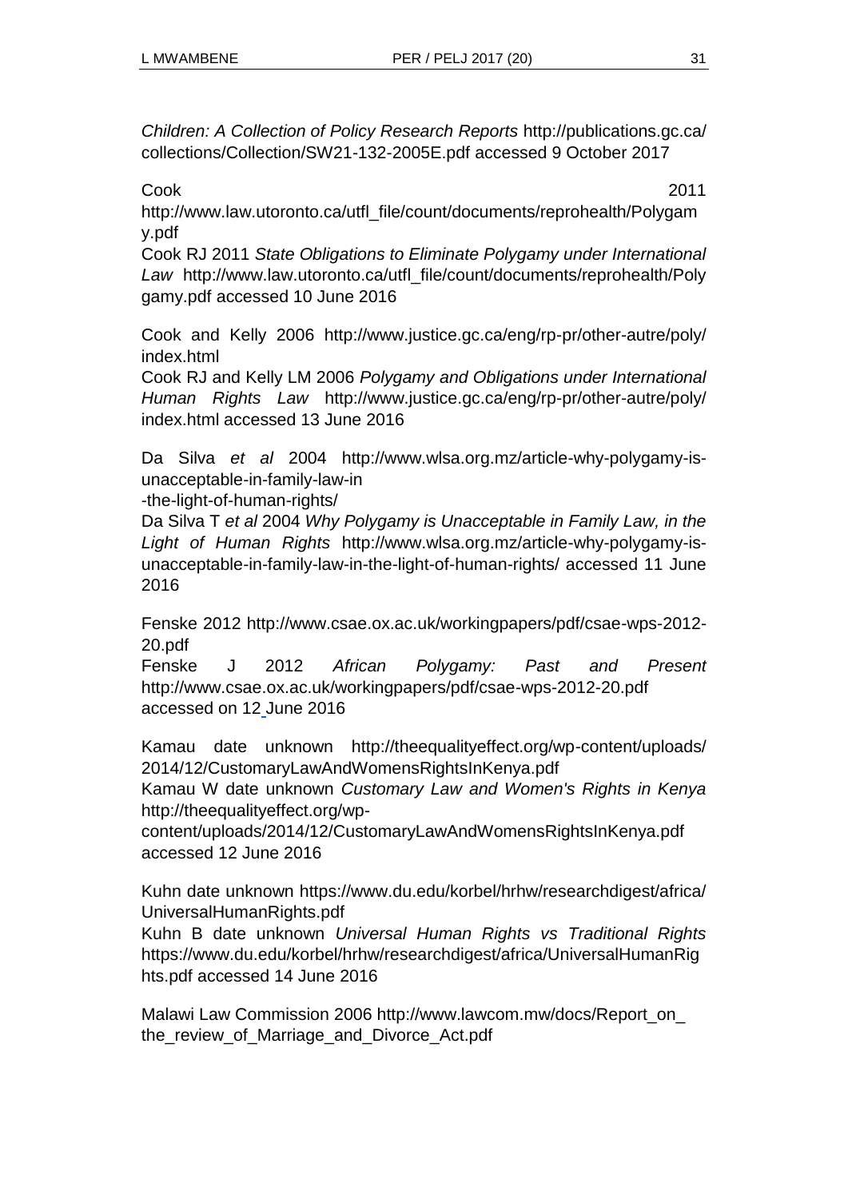*Children: A Collection of Policy Research Reports* http://publications.gc.ca/ collections/Collection/SW21-132-2005E.pdf accessed 9 October 2017

Cook 2011

http://www.law.utoronto.ca/utfl\_file/count/documents/reprohealth/Polygam y.pdf

Cook RJ 2011 *State Obligations to Eliminate Polygamy under International Law* http://www.law.utoronto.ca/utfl\_file/count/documents/reprohealth/Poly gamy.pdf accessed 10 June 2016

Cook and Kelly 2006 http://www.justice.gc.ca/eng/rp-pr/other-autre/poly/ index.html

Cook RJ and Kelly LM 2006 *Polygamy and Obligations under International Human Rights Law* http://www.justice.gc.ca/eng/rp-pr/other-autre/poly/ index.html accessed 13 June 2016

Da Silva *et al* 2004 http://www.wlsa.org.mz/article-why-polygamy-isunacceptable-in-family-law-in

-the-light-of-human-rights/

Da Silva T *et al* 2004 *Why Polygamy is Unacceptable in Family Law, in the Light of Human Rights* http://www.wlsa.org.mz/article-why-polygamy-isunacceptable-in-family-law-in-the-light-of-human-rights/ accessed 11 June 2016

Fenske 2012 http://www.csae.ox.ac.uk/workingpapers/pdf/csae-wps-2012- 20.pdf

Fenske J 2012 *African Polygamy: Past and Present* http://www.csae.ox.ac.uk/workingpapers/pdf/csae-wps-2012-20.pdf accessed on 12 June 2016

Kamau date unknown http://theequalityeffect.org/wp-content/uploads/ 2014/12/CustomaryLawAndWomensRightsInKenya.pdf

Kamau W date unknown *Customary Law and Women's Rights in Kenya*  http://theequalityeffect.org/wp-

content/uploads/2014/12/CustomaryLawAndWomensRightsInKenya.pdf accessed 12 June 2016

Kuhn date unknown https://www.du.edu/korbel/hrhw/researchdigest/africa/ UniversalHumanRights.pdf

Kuhn B date unknown *Universal Human Rights vs Traditional Rights*  https://www.du.edu/korbel/hrhw/researchdigest/africa/UniversalHumanRig hts.pdf accessed 14 June 2016

Malawi Law Commission 2006 http://www.lawcom.mw/docs/Report\_on\_ the review of Marriage and Divorce Act.pdf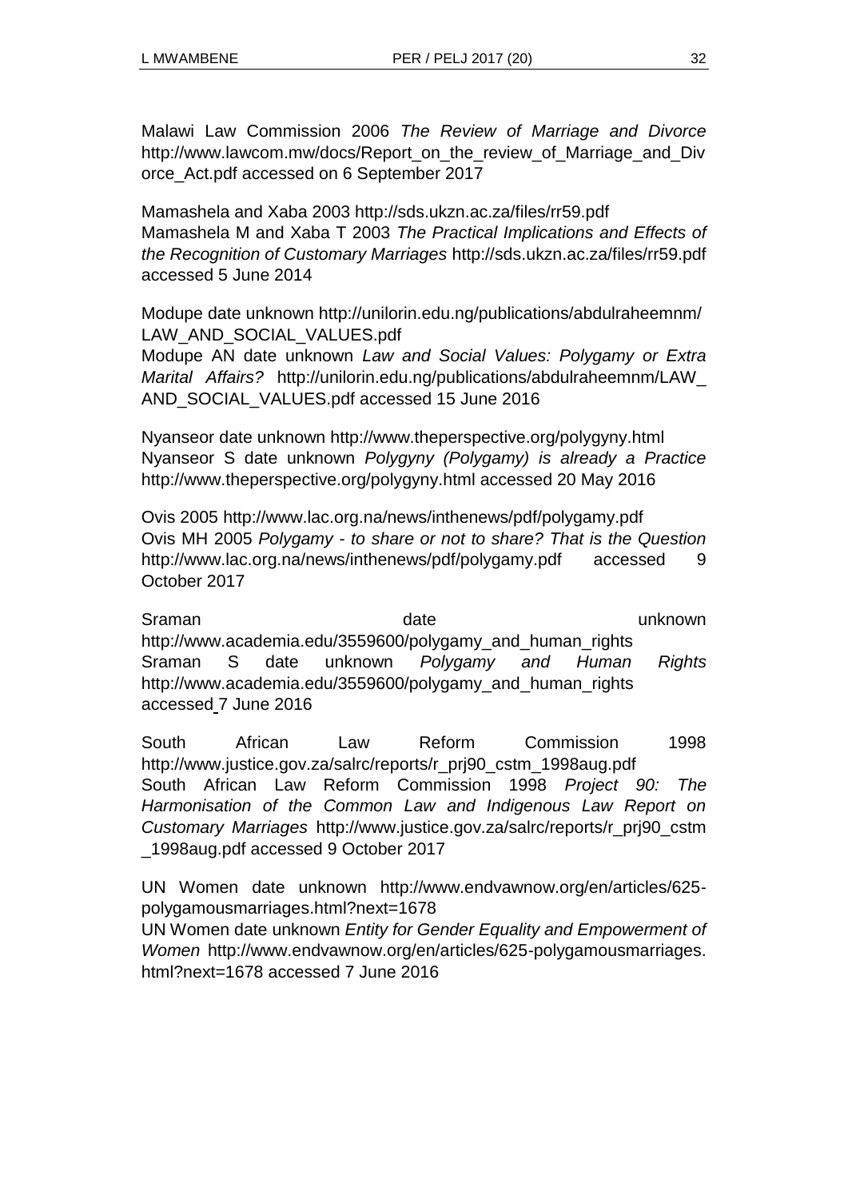Malawi Law Commission 2006 *The Review of Marriage and Divorce* http://www.lawcom.mw/docs/Report\_on\_the\_review\_of\_Marriage\_and\_Div orce\_Act.pdf accessed on 6 September 2017

Mamashela and Xaba 2003 http://sds.ukzn.ac.za/files/rr59.pdf Mamashela M and Xaba T 2003 *The Practical Implications and Effects of the Recognition of Customary Marriages* http://sds.ukzn.ac.za/files/rr59.pdf accessed 5 June 2014

Modupe date unknown http://unilorin.edu.ng/publications/abdulraheemnm/ LAW\_AND\_SOCIAL\_VALUES.pdf

Modupe AN date unknown *Law and Social Values: Polygamy or Extra Marital Affairs?* http://unilorin.edu.ng/publications/abdulraheemnm/LAW\_ AND\_SOCIAL\_VALUES.pdf accessed 15 June 2016

Nyanseor date unknown http://www.theperspective.org/polygyny.html Nyanseor S date unknown *Polygyny (Polygamy) is already a Practice* http://www.theperspective.org/polygyny.html accessed 20 May 2016

Ovis 2005 http://www.lac.org.na/news/inthenews/pdf/polygamy.pdf Ovis MH 2005 *Polygamy - to share or not to share? That is the Question* http://www.lac.org.na/news/inthenews/pdf/polygamy.pdf accessed 9 October 2017

Sraman date by the date when the unknown http://www.academia.edu/3559600/polygamy\_and\_human\_rights Sraman S date unknown *Polygamy and Human Rights* http://www.academia.edu/3559600/polygamy\_and\_human\_rights accessed 7 June 2016

South African Law Reform Commission 1998 http://www.justice.gov.za/salrc/reports/r\_prj90\_cstm\_1998aug.pdf South African Law Reform Commission 1998 *Project 90: The Harmonisation of the Common Law and Indigenous Law Report on Customary Marriages* http://www.justice.gov.za/salrc/reports/r\_prj90\_cstm \_1998aug.pdf accessed 9 October 2017

UN Women date unknown http://www.endvawnow.org/en/articles/625 polygamousmarriages.html?next=1678 UN Women date unknown *Entity for Gender Equality and Empowerment of Women* http://www.endvawnow.org/en/articles/625-polygamousmarriages.

html?next=1678 accessed 7 June 2016